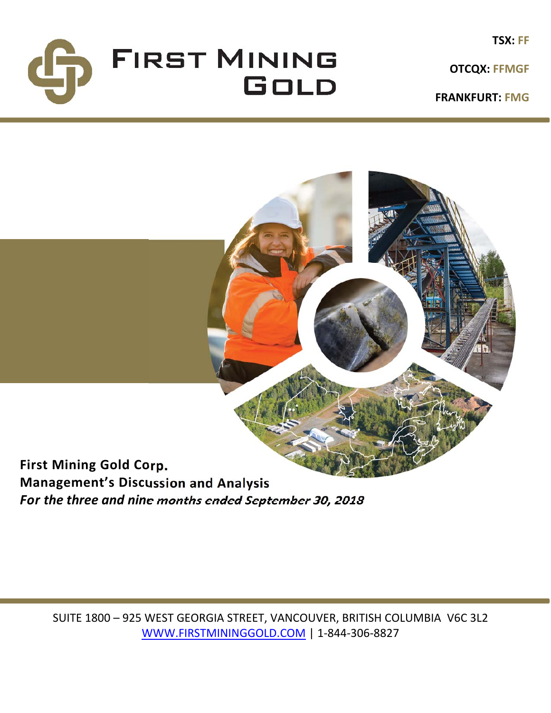

**OTCQX: FFMGF**

**FRANKFURT: FMG**



*For the three and nine months ended September 30, 2018*

SUITE 1800 – 925 WEST GEORGIA STREET, VANCOUVER, BRITISH COLUMBIA V6C 3L2 WWW.FIRSTMININGGOLD.COM | 1‐844‐306‐8827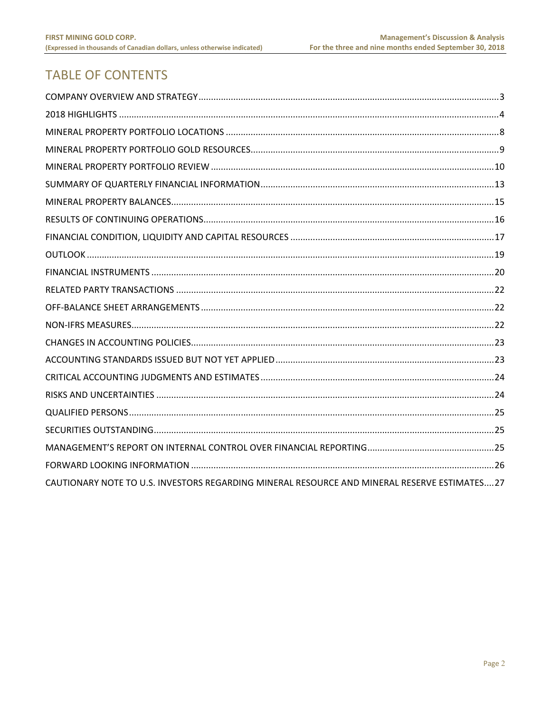# **TABLE OF CONTENTS**

| CAUTIONARY NOTE TO U.S. INVESTORS REGARDING MINERAL RESOURCE AND MINERAL RESERVE ESTIMATES27 |  |
|----------------------------------------------------------------------------------------------|--|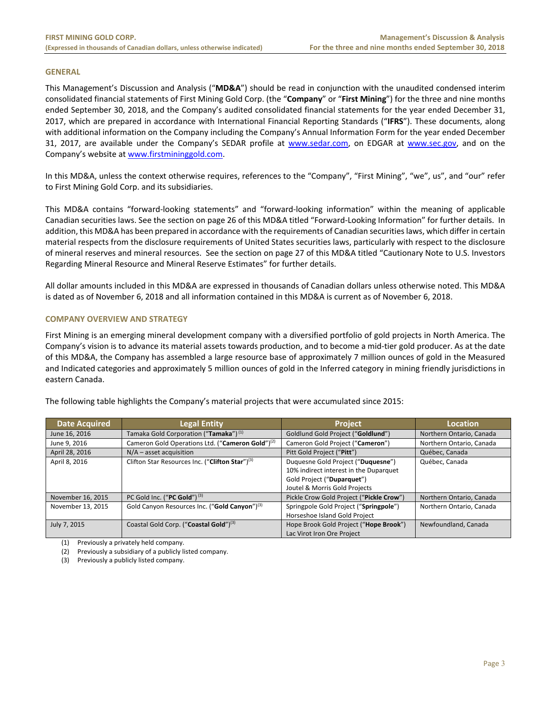#### **GENERAL**

This Management's Discussion and Analysis ("**MD&A**") should be read in conjunction with the unaudited condensed interim consolidated financial statements of First Mining Gold Corp. (the "**Company**" or "**First Mining**") for the three and nine months ended September 30, 2018, and the Company's audited consolidated financial statements for the year ended December 31, 2017, which are prepared in accordance with International Financial Reporting Standards ("**IFRS**"). These documents, along with additional information on the Company including the Company's Annual Information Form for the year ended December 31, 2017, are available under the Company's SEDAR profile at www.sedar.com, on EDGAR at www.sec.gov, and on the Company's website at www.firstmininggold.com.

In this MD&A, unless the context otherwise requires, references to the "Company", "First Mining", "we", us", and "our" refer to First Mining Gold Corp. and its subsidiaries.

This MD&A contains "forward‐looking statements" and "forward‐looking information" within the meaning of applicable Canadian securities laws. See the section on page 26 of this MD&A titled "Forward‐Looking Information" for further details. In addition, this MD&A has been prepared in accordance with the requirements of Canadian securities laws, which differ in certain material respects from the disclosure requirements of United States securities laws, particularly with respect to the disclosure of mineral reserves and mineral resources. See the section on page 27 of this MD&A titled "Cautionary Note to U.S. Investors Regarding Mineral Resource and Mineral Reserve Estimates" for further details.

All dollar amounts included in this MD&A are expressed in thousands of Canadian dollars unless otherwise noted. This MD&A is dated as of November 6, 2018 and all information contained in this MD&A is current as of November 6, 2018.

## **COMPANY OVERVIEW AND STRATEGY**

First Mining is an emerging mineral development company with a diversified portfolio of gold projects in North America. The Company's vision is to advance its material assets towards production, and to become a mid‐tier gold producer. As at the date of this MD&A, the Company has assembled a large resource base of approximately 7 million ounces of gold in the Measured and Indicated categories and approximately 5 million ounces of gold in the Inferred category in mining friendly jurisdictions in eastern Canada.

| <b>Date Acquired</b> | <b>Legal Entity</b>                                          | <b>Project</b>                                                               | Location                 |
|----------------------|--------------------------------------------------------------|------------------------------------------------------------------------------|--------------------------|
| June 16, 2016        | Tamaka Gold Corporation ("Tamaka") <sup>(1)</sup>            | Goldlund Gold Project ("Goldlund")                                           | Northern Ontario, Canada |
| June 9, 2016         | Cameron Gold Operations Ltd. ("Cameron Gold") <sup>(2)</sup> | Cameron Gold Project ("Cameron")                                             | Northern Ontario, Canada |
| April 28, 2016       | $N/A$ – asset acquisition                                    | Pitt Gold Project ("Pitt")                                                   | Québec, Canada           |
| April 8, 2016        | Clifton Star Resources Inc. ("Clifton Star") <sup>(3)</sup>  | Duquesne Gold Project ("Duquesne")<br>10% indirect interest in the Duparquet | Québec, Canada           |
|                      |                                                              | Gold Project ("Duparquet")                                                   |                          |
|                      |                                                              | Joutel & Morris Gold Projects                                                |                          |
| November 16, 2015    | PC Gold Inc. ("PC Gold") $(3)$                               | Pickle Crow Gold Project ("Pickle Crow")                                     | Northern Ontario, Canada |
| November 13, 2015    | Gold Canyon Resources Inc. ("Gold Canyon") <sup>(3)</sup>    | Springpole Gold Project ("Springpole")                                       | Northern Ontario, Canada |
|                      |                                                              | Horseshoe Island Gold Project                                                |                          |
| July 7, 2015         | Coastal Gold Corp. ("Coastal Gold") <sup>(3)</sup>           | Hope Brook Gold Project ("Hope Brook")                                       | Newfoundland, Canada     |
|                      |                                                              | Lac Virot Iron Ore Project                                                   |                          |

The following table highlights the Company's material projects that were accumulated since 2015:

(1) Previously a privately held company.

(2) Previously a subsidiary of a publicly listed company.

(3) Previously a publicly listed company.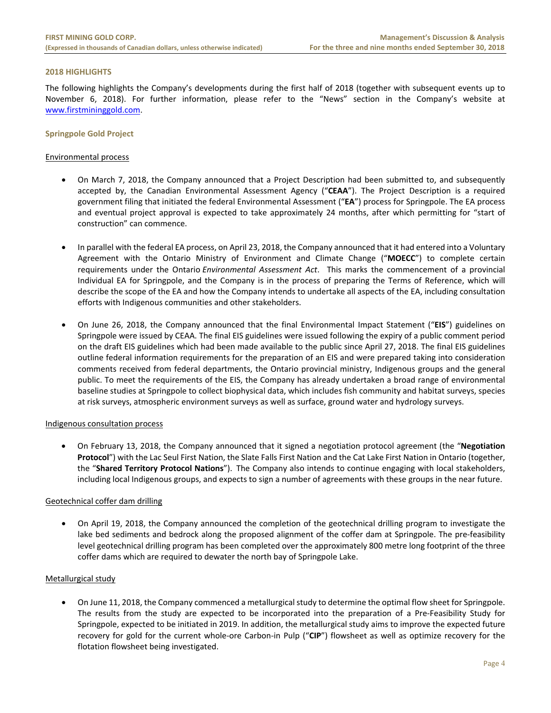#### **2018 HIGHLIGHTS**

The following highlights the Company's developments during the first half of 2018 (together with subsequent events up to November 6, 2018). For further information, please refer to the "News" section in the Company's website at www.firstmininggold.com.

#### **Springpole Gold Project**

#### Environmental process

- On March 7, 2018, the Company announced that a Project Description had been submitted to, and subsequently accepted by, the Canadian Environmental Assessment Agency ("**CEAA**"). The Project Description is a required government filing that initiated the federal Environmental Assessment ("**EA**") process for Springpole. The EA process and eventual project approval is expected to take approximately 24 months, after which permitting for "start of construction" can commence.
- In parallel with the federal EA process, on April 23, 2018, the Company announced that it had entered into a Voluntary Agreement with the Ontario Ministry of Environment and Climate Change ("**MOECC**") to complete certain requirements under the Ontario *Environmental Assessment Act*. This marks the commencement of a provincial Individual EA for Springpole, and the Company is in the process of preparing the Terms of Reference, which will describe the scope of the EA and how the Company intends to undertake all aspects of the EA, including consultation efforts with Indigenous communities and other stakeholders.
- On June 26, 2018, the Company announced that the final Environmental Impact Statement ("**EIS**") guidelines on Springpole were issued by CEAA. The final EIS guidelines were issued following the expiry of a public comment period on the draft EIS guidelines which had been made available to the public since April 27, 2018. The final EIS guidelines outline federal information requirements for the preparation of an EIS and were prepared taking into consideration comments received from federal departments, the Ontario provincial ministry, Indigenous groups and the general public. To meet the requirements of the EIS, the Company has already undertaken a broad range of environmental baseline studies at Springpole to collect biophysical data, which includes fish community and habitat surveys, species at risk surveys, atmospheric environment surveys as well as surface, ground water and hydrology surveys.

#### Indigenous consultation process

 On February 13, 2018, the Company announced that it signed a negotiation protocol agreement (the "**Negotiation Protocol**") with the Lac Seul First Nation, the Slate Falls First Nation and the Cat Lake First Nation in Ontario (together, the "**Shared Territory Protocol Nations**"). The Company also intends to continue engaging with local stakeholders, including local Indigenous groups, and expects to sign a number of agreements with these groups in the near future.

## Geotechnical coffer dam drilling

 On April 19, 2018, the Company announced the completion of the geotechnical drilling program to investigate the lake bed sediments and bedrock along the proposed alignment of the coffer dam at Springpole. The pre-feasibility level geotechnical drilling program has been completed over the approximately 800 metre long footprint of the three coffer dams which are required to dewater the north bay of Springpole Lake.

## Metallurgical study

 On June 11, 2018, the Company commenced a metallurgical study to determine the optimal flow sheet for Springpole. The results from the study are expected to be incorporated into the preparation of a Pre-Feasibility Study for Springpole, expected to be initiated in 2019. In addition, the metallurgical study aims to improve the expected future recovery for gold for the current whole-ore Carbon-in Pulp ("CIP") flowsheet as well as optimize recovery for the flotation flowsheet being investigated.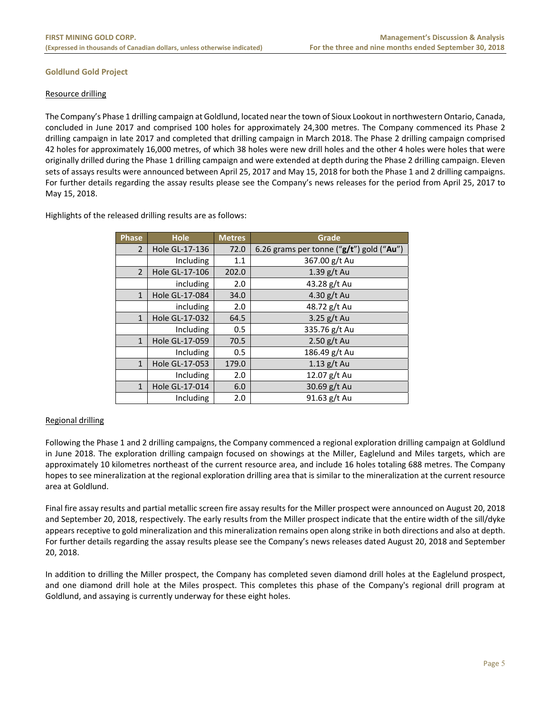## **Goldlund Gold Project**

#### Resource drilling

The Company's Phase 1 drilling campaign at Goldlund, located near the town of Sioux Lookout in northwestern Ontario, Canada, concluded in June 2017 and comprised 100 holes for approximately 24,300 metres. The Company commenced its Phase 2 drilling campaign in late 2017 and completed that drilling campaign in March 2018. The Phase 2 drilling campaign comprised 42 holes for approximately 16,000 metres, of which 38 holes were new drill holes and the other 4 holes were holes that were originally drilled during the Phase 1 drilling campaign and were extended at depth during the Phase 2 drilling campaign. Eleven sets of assays results were announced between April 25, 2017 and May 15, 2018 for both the Phase 1 and 2 drilling campaigns. For further details regarding the assay results please see the Company's news releases for the period from April 25, 2017 to May 15, 2018.

Highlights of the released drilling results are as follows:

| Phase          | <b>Hole</b>    | <b>Metres</b> | Grade                                        |
|----------------|----------------|---------------|----------------------------------------------|
| $\overline{2}$ | Hole GL-17-136 | 72.0          | 6.26 grams per tonne (" $g/t$ ") gold ("Au") |
|                | Including      | 1.1           | 367.00 g/t Au                                |
| $\overline{2}$ | Hole GL-17-106 | 202.0         | $1.39$ g/t Au                                |
|                | including      | 2.0           | 43.28 g/t Au                                 |
| $\mathbf{1}$   | Hole GL-17-084 | 34.0          | 4.30 g/t Au                                  |
|                | including      | 2.0           | 48.72 g/t Au                                 |
| $\mathbf{1}$   | Hole GL-17-032 | 64.5          | 3.25 $g/t$ Au                                |
|                | Including      | 0.5           | 335.76 g/t Au                                |
| $\mathbf{1}$   | Hole GL-17-059 | 70.5          | $2.50$ g/t Au                                |
|                | Including      | 0.5           | 186.49 g/t Au                                |
| $\mathbf{1}$   | Hole GL-17-053 | 179.0         | $1.13$ g/t Au                                |
|                | Including      | 2.0           | 12.07 g/t Au                                 |
| $\mathbf{1}$   | Hole GL-17-014 | 6.0           | 30.69 g/t Au                                 |
|                | Including      | 2.0           | 91.63 g/t Au                                 |

## Regional drilling

Following the Phase 1 and 2 drilling campaigns, the Company commenced a regional exploration drilling campaign at Goldlund in June 2018. The exploration drilling campaign focused on showings at the Miller, Eaglelund and Miles targets, which are approximately 10 kilometres northeast of the current resource area, and include 16 holes totaling 688 metres. The Company hopes to see mineralization at the regional exploration drilling area that is similar to the mineralization at the current resource area at Goldlund.

Final fire assay results and partial metallic screen fire assay results for the Miller prospect were announced on August 20, 2018 and September 20, 2018, respectively. The early results from the Miller prospect indicate that the entire width of the sill/dyke appears receptive to gold mineralization and this mineralization remains open along strike in both directions and also at depth. For further details regarding the assay results please see the Company's news releases dated August 20, 2018 and September 20, 2018.

In addition to drilling the Miller prospect, the Company has completed seven diamond drill holes at the Eaglelund prospect, and one diamond drill hole at the Miles prospect. This completes this phase of the Company's regional drill program at Goldlund, and assaying is currently underway for these eight holes.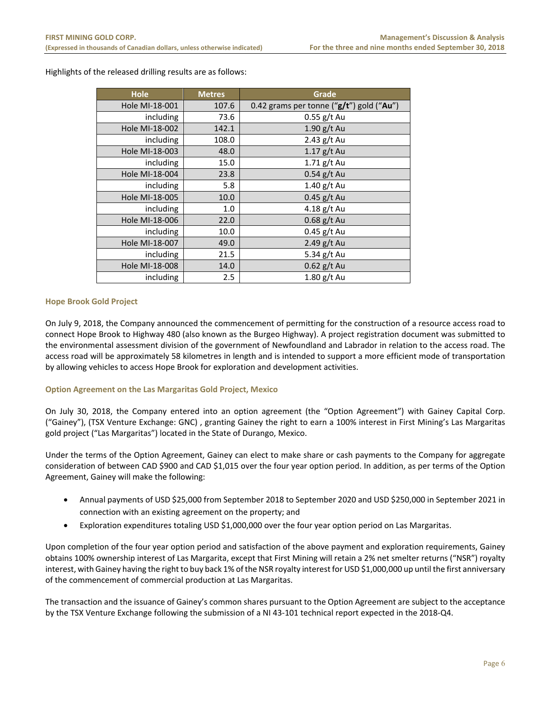Highlights of the released drilling results are as follows:

| <b>Hole</b>    | <b>Metres</b> | Grade                                        |
|----------------|---------------|----------------------------------------------|
| Hole MI-18-001 | 107.6         | 0.42 grams per tonne (" $g/t$ ") gold ("Au") |
| including      | 73.6          | $0.55$ g/t Au                                |
| Hole MI-18-002 | 142.1         | $1.90$ g/t Au                                |
| including      | 108.0         | 2.43 g/t Au                                  |
| Hole MI-18-003 | 48.0          | $1.17$ g/t Au                                |
| including      | 15.0          | $1.71$ g/t Au                                |
| Hole MI-18-004 | 23.8          | $0.54$ g/t Au                                |
| including      | 5.8           | 1.40 g/t Au                                  |
| Hole MI-18-005 | 10.0          | $0.45$ g/t Au                                |
| including      | 1.0           | 4.18 $g/t$ Au                                |
| Hole MI-18-006 | 22.0          | $0.68$ g/t Au                                |
| including      | 10.0          | $0.45$ g/t Au                                |
| Hole MI-18-007 | 49.0          | $2.49$ g/t Au                                |
| including      | 21.5          | 5.34 g/t Au                                  |
| Hole MI-18-008 | 14.0          | $0.62$ g/t Au                                |
| including      | 2.5           | $1.80$ g/t Au                                |

## **Hope Brook Gold Project**

On July 9, 2018, the Company announced the commencement of permitting for the construction of a resource access road to connect Hope Brook to Highway 480 (also known as the Burgeo Highway). A project registration document was submitted to the environmental assessment division of the government of Newfoundland and Labrador in relation to the access road. The access road will be approximately 58 kilometres in length and is intended to support a more efficient mode of transportation by allowing vehicles to access Hope Brook for exploration and development activities.

## **Option Agreement on the Las Margaritas Gold Project, Mexico**

On July 30, 2018, the Company entered into an option agreement (the "Option Agreement") with Gainey Capital Corp. ("Gainey"), (TSX Venture Exchange: GNC) , granting Gainey the right to earn a 100% interest in First Mining's Las Margaritas gold project ("Las Margaritas") located in the State of Durango, Mexico.

Under the terms of the Option Agreement, Gainey can elect to make share or cash payments to the Company for aggregate consideration of between CAD \$900 and CAD \$1,015 over the four year option period. In addition, as per terms of the Option Agreement, Gainey will make the following:

- Annual payments of USD \$25,000 from September 2018 to September 2020 and USD \$250,000 in September 2021 in connection with an existing agreement on the property; and
- Exploration expenditures totaling USD \$1,000,000 over the four year option period on Las Margaritas.

Upon completion of the four year option period and satisfaction of the above payment and exploration requirements, Gainey obtains 100% ownership interest of Las Margarita, except that First Mining will retain a 2% net smelter returns ("NSR") royalty interest, with Gainey having the right to buy back 1% of the NSR royalty interest for USD \$1,000,000 up until the first anniversary of the commencement of commercial production at Las Margaritas.

The transaction and the issuance of Gainey's common shares pursuant to the Option Agreement are subject to the acceptance by the TSX Venture Exchange following the submission of a NI 43‐101 technical report expected in the 2018‐Q4.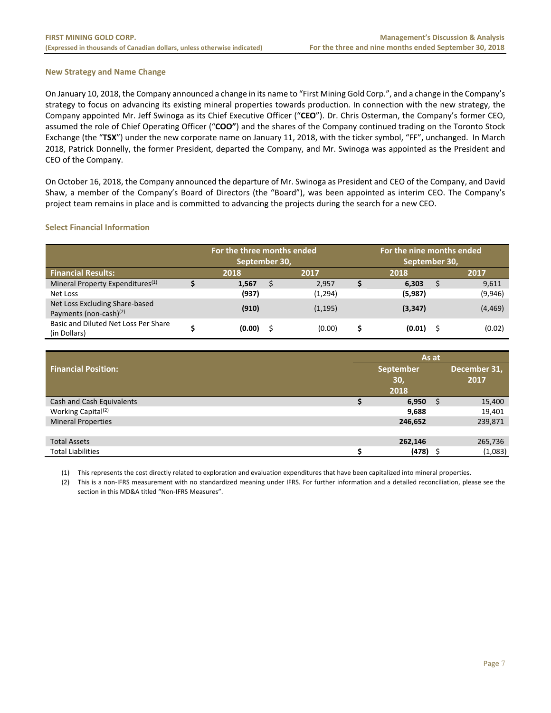## **New Strategy and Name Change**

On January 10, 2018, the Company announced a change in its name to "First Mining Gold Corp.", and a change in the Company's strategy to focus on advancing its existing mineral properties towards production. In connection with the new strategy, the Company appointed Mr. Jeff Swinoga as its Chief Executive Officer ("**CEO**"). Dr. Chris Osterman, the Company's former CEO, assumed the role of Chief Operating Officer ("**COO"**) and the shares of the Company continued trading on the Toronto Stock Exchange (the "**TSX**") under the new corporate name on January 11, 2018, with the ticker symbol, "FF", unchanged. In March 2018, Patrick Donnelly, the former President, departed the Company, and Mr. Swinoga was appointed as the President and CEO of the Company.

On October 16, 2018, the Company announced the departure of Mr. Swinoga as President and CEO of the Company, and David Shaw, a member of the Company's Board of Directors (the "Board"), was been appointed as interim CEO. The Company's project team remains in place and is committed to advancing the projects during the search for a new CEO.

## **Select Financial Information**

|                                                             | For the three months ended<br>September 30, |   |          |  | For the nine months ended<br>September 30, |  |          |  |
|-------------------------------------------------------------|---------------------------------------------|---|----------|--|--------------------------------------------|--|----------|--|
| <b>Financial Results:</b>                                   | 2017<br>2018                                |   |          |  | 2018                                       |  | 2017     |  |
| Mineral Property Expenditures <sup>(1)</sup>                | 1.567                                       | S | 2,957    |  | 6,303                                      |  | 9,611    |  |
| Net Loss                                                    | (937)                                       |   | (1,294)  |  | (5,987)                                    |  | (9,946)  |  |
| Net Loss Excluding Share-based<br>Payments (non-cash) $(2)$ | (910)                                       |   | (1, 195) |  | (3,347)                                    |  | (4, 469) |  |
| Basic and Diluted Net Loss Per Share<br>(in Dollars)        | (0.00)                                      |   | (0.00)   |  | (0.01)                                     |  | (0.02)   |  |

|                                | As at |           |  |              |  |
|--------------------------------|-------|-----------|--|--------------|--|
| <b>Financial Position:</b>     |       | September |  | December 31, |  |
|                                |       | 30,       |  | 2017         |  |
|                                |       | 2018      |  |              |  |
| Cash and Cash Equivalents      |       | 6,950     |  | 15,400       |  |
| Working Capital <sup>(2)</sup> |       | 9,688     |  | 19,401       |  |
| <b>Mineral Properties</b>      |       | 246,652   |  | 239,871      |  |
|                                |       |           |  |              |  |
| <b>Total Assets</b>            |       | 262,146   |  | 265,736      |  |
| <b>Total Liabilities</b>       | c     | (478)     |  | (1,083)      |  |

(1) This represents the cost directly related to exploration and evaluation expenditures that have been capitalized into mineral properties.

(2) This is a non‐IFRS measurement with no standardized meaning under IFRS. For further information and a detailed reconciliation, please see the section in this MD&A titled "Non-IFRS Measures".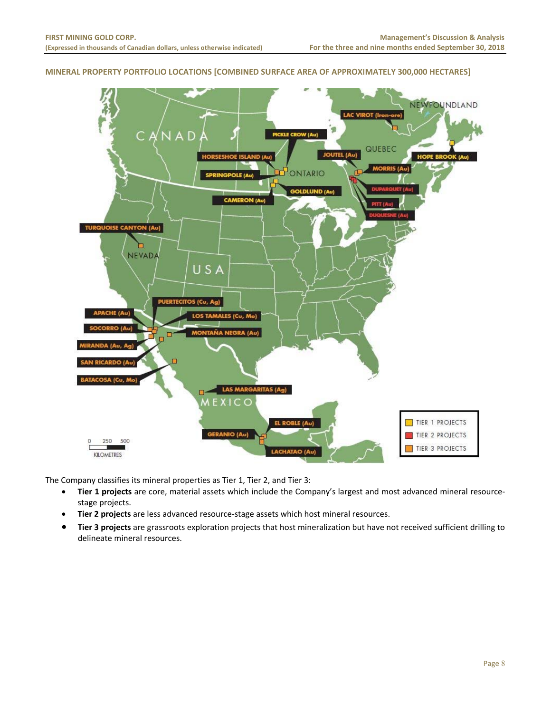# **MINERAL PROPERTY PORTFOLIO LOCATIONS [COMBINED SURFACE AREA OF APPROXIMATELY 300,000 HECTARES]**



The Company classifies its mineral properties as Tier 1, Tier 2, and Tier 3:

- **Tier 1 projects** are core, material assets which include the Company's largest and most advanced mineral resource‐ stage projects.
- **Tier 2 projects** are less advanced resource‐stage assets which host mineral resources.
- **Tier 3 projects** are grassroots exploration projects that host mineralization but have not received sufficient drilling to delineate mineral resources.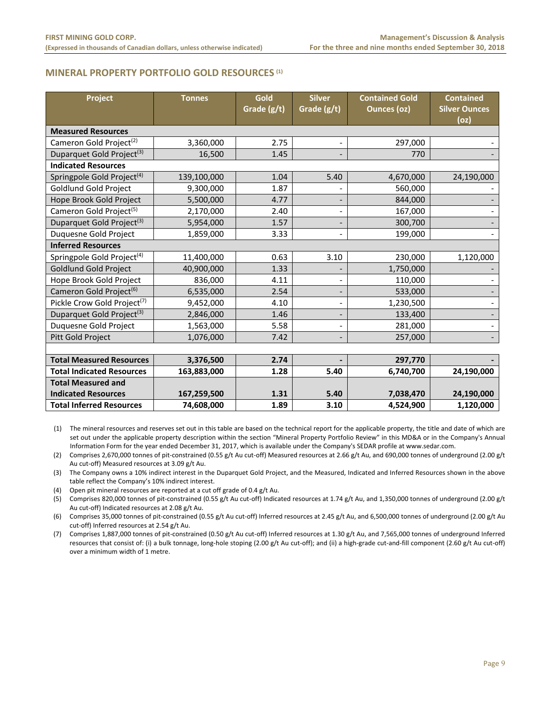# **MINERAL PROPERTY PORTFOLIO GOLD RESOURCES (1)**

| Project                                 | <b>Tonnes</b> | Gold<br>Grade (g/t) | <b>Silver</b><br>Grade (g/t) | <b>Contained Gold</b><br>Ounces (oz) | <b>Contained</b><br><b>Silver Ounces</b><br>(oz) |
|-----------------------------------------|---------------|---------------------|------------------------------|--------------------------------------|--------------------------------------------------|
| <b>Measured Resources</b>               |               |                     |                              |                                      |                                                  |
| Cameron Gold Project <sup>(2)</sup>     | 3,360,000     | 2.75                |                              | 297,000                              |                                                  |
| Duparquet Gold Project <sup>(3)</sup>   | 16,500        | 1.45                |                              | 770                                  |                                                  |
| <b>Indicated Resources</b>              |               |                     |                              |                                      |                                                  |
| Springpole Gold Project <sup>(4)</sup>  | 139,100,000   | 1.04                | 5.40                         | 4,670,000                            | 24,190,000                                       |
| Goldlund Gold Project                   | 9,300,000     | 1.87                |                              | 560,000                              |                                                  |
| Hope Brook Gold Project                 | 5,500,000     | 4.77                |                              | 844,000                              |                                                  |
| Cameron Gold Project <sup>(5)</sup>     | 2,170,000     | 2.40                |                              | 167,000                              |                                                  |
| Duparquet Gold Project <sup>(3)</sup>   | 5,954,000     | 1.57                |                              | 300,700                              |                                                  |
| Duquesne Gold Project                   | 1,859,000     | 3.33                |                              | 199,000                              |                                                  |
| <b>Inferred Resources</b>               |               |                     |                              |                                      |                                                  |
| Springpole Gold Project <sup>(4)</sup>  | 11,400,000    | 0.63                | 3.10                         | 230,000                              | 1,120,000                                        |
| <b>Goldlund Gold Project</b>            | 40,900,000    | 1.33                |                              | 1,750,000                            |                                                  |
| Hope Brook Gold Project                 | 836,000       | 4.11                |                              | 110,000                              |                                                  |
| Cameron Gold Project <sup>(6)</sup>     | 6,535,000     | 2.54                |                              | 533,000                              |                                                  |
| Pickle Crow Gold Project <sup>(7)</sup> | 9,452,000     | 4.10                | $\overline{\phantom{a}}$     | 1,230,500                            |                                                  |
| Duparquet Gold Project <sup>(3)</sup>   | 2,846,000     | 1.46                |                              | 133,400                              |                                                  |
| Duquesne Gold Project                   | 1,563,000     | 5.58                |                              | 281,000                              |                                                  |
| Pitt Gold Project                       | 1,076,000     | 7.42                |                              | 257,000                              |                                                  |
|                                         |               |                     |                              |                                      |                                                  |
| <b>Total Measured Resources</b>         | 3,376,500     | 2.74                |                              | 297,770                              |                                                  |
| <b>Total Indicated Resources</b>        | 163,883,000   | 1.28                | 5.40                         | 6,740,700                            | 24,190,000                                       |
| <b>Total Measured and</b>               |               |                     |                              |                                      |                                                  |
| <b>Indicated Resources</b>              | 167,259,500   | 1.31                | 5.40                         | 7,038,470                            | 24,190,000                                       |
| <b>Total Inferred Resources</b>         | 74,608,000    | 1.89                | 3.10                         | 4,524,900                            | 1,120,000                                        |

(1) The mineral resources and reserves set out in this table are based on the technical report for the applicable property, the title and date of which are set out under the applicable property description within the section "Mineral Property Portfolio Review" in this MD&A or in the Company's Annual Information Form for the year ended December 31, 2017, which is available under the Company's SEDAR profile at www.sedar.com.

(2) Comprises 2,670,000 tonnes of pit‐constrained (0.55 g/t Au cut‐off) Measured resources at 2.66 g/t Au, and 690,000 tonnes of underground (2.00 g/t Au cut‐off) Measured resources at 3.09 g/t Au.

(3) The Company owns a 10% indirect interest in the Duparquet Gold Project, and the Measured, Indicated and Inferred Resources shown in the above table reflect the Company's 10% indirect interest.

(4) Open pit mineral resources are reported at a cut off grade of 0.4 g/t Au.

(5) Comprises 820,000 tonnes of pit‐constrained (0.55 g/t Au cut‐off) Indicated resources at 1.74 g/t Au, and 1,350,000 tonnes of underground (2.00 g/t Au cut‐off) Indicated resources at 2.08 g/t Au.

(6) Comprises 35,000 tonnes of pit‐constrained (0.55 g/t Au cut‐off) Inferred resources at 2.45 g/t Au, and 6,500,000 tonnes of underground (2.00 g/t Au cut-off) Inferred resources at 2.54 g/t Au.

(7) Comprises 1,887,000 tonnes of pit‐constrained (0.50 g/t Au cut‐off) Inferred resources at 1.30 g/t Au, and 7,565,000 tonnes of underground Inferred resources that consist of: (i) a bulk tonnage, long‐hole stoping (2.00 g/t Au cut‐off); and (ii) a high‐grade cut‐and‐fill component (2.60 g/t Au cut‐off) over a minimum width of 1 metre.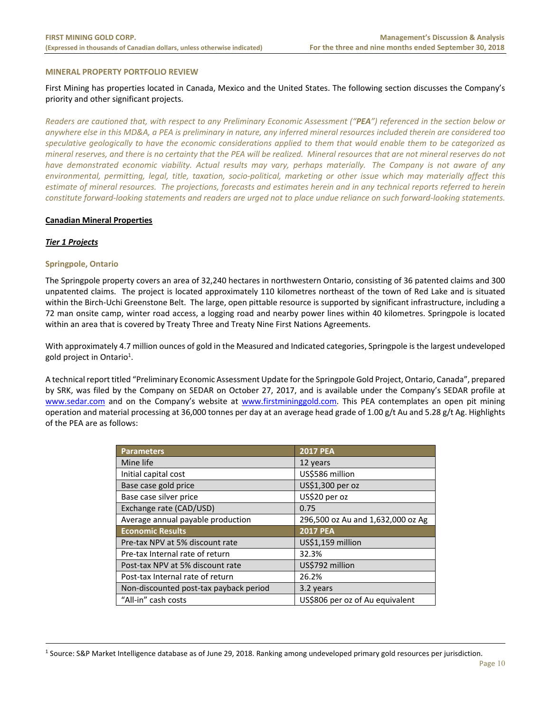#### **MINERAL PROPERTY PORTFOLIO REVIEW**

First Mining has properties located in Canada, Mexico and the United States. The following section discusses the Company's priority and other significant projects.

*Readers are cautioned that, with respect to any Preliminary Economic Assessment ("PEA") referenced in the section below or anywhere else in this MD&A, a PEA is preliminary in nature, any inferred mineral resources included therein are considered too speculative geologically to have the economic considerations applied to them that would enable them to be categorized as mineral reserves, and there is no certainty that the PEA will be realized. Mineral resources that are not mineral reserves do not*  have demonstrated economic viability. Actual results may vary, perhaps materially. The Company is not aware of any *environmental, permitting, legal, title, taxation, socio‐political, marketing or other issue which may materially affect this estimate of mineral resources. The projections, forecasts and estimates herein and in any technical reports referred to herein constitute forward‐looking statements and readers are urged not to place undue reliance on such forward‐looking statements.* 

#### **Canadian Mineral Properties**

## *Tier 1 Projects*

 $\overline{a}$ 

## **Springpole, Ontario**

The Springpole property covers an area of 32,240 hectares in northwestern Ontario, consisting of 36 patented claims and 300 unpatented claims. The project is located approximately 110 kilometres northeast of the town of Red Lake and is situated within the Birch‐Uchi Greenstone Belt. The large, open pittable resource is supported by significant infrastructure, including a 72 man onsite camp, winter road access, a logging road and nearby power lines within 40 kilometres. Springpole is located within an area that is covered by Treaty Three and Treaty Nine First Nations Agreements.

With approximately 4.7 million ounces of gold in the Measured and Indicated categories, Springpole is the largest undeveloped gold project in Ontario<sup>1</sup>.

A technical report titled "Preliminary Economic Assessment Update for the Springpole Gold Project, Ontario, Canada", prepared by SRK, was filed by the Company on SEDAR on October 27, 2017, and is available under the Company's SEDAR profile at www.sedar.com and on the Company's website at www.firstmininggold.com. This PEA contemplates an open pit mining operation and material processing at 36,000 tonnes per day at an average head grade of 1.00 g/t Au and 5.28 g/t Ag. Highlights of the PEA are as follows:

| <b>Parameters</b>                      | <b>2017 PEA</b>                   |
|----------------------------------------|-----------------------------------|
| Mine life                              | 12 years                          |
| Initial capital cost                   | US\$586 million                   |
| Base case gold price                   | US\$1,300 per oz                  |
| Base case silver price                 | US\$20 per oz                     |
| Exchange rate (CAD/USD)                | 0.75                              |
| Average annual payable production      | 296,500 oz Au and 1,632,000 oz Ag |
| <b>Economic Results</b>                | <b>2017 PEA</b>                   |
| Pre-tax NPV at 5% discount rate        | US\$1,159 million                 |
| Pre-tax Internal rate of return        | 32.3%                             |
| Post-tax NPV at 5% discount rate       | US\$792 million                   |
| Post-tax Internal rate of return       | 26.2%                             |
| Non-discounted post-tax payback period | 3.2 years                         |
| "All-in" cash costs                    | US\$806 per oz of Au equivalent   |

<sup>1</sup> Source: S&P Market Intelligence database as of June 29, 2018. Ranking among undeveloped primary gold resources per jurisdiction.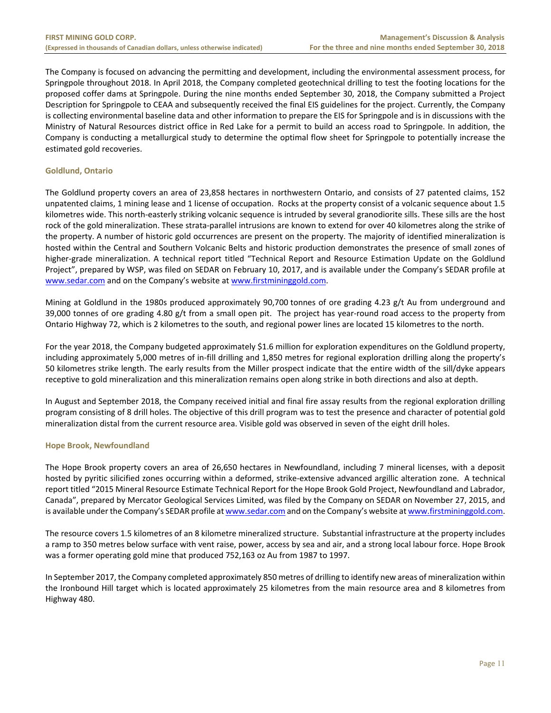The Company is focused on advancing the permitting and development, including the environmental assessment process, for Springpole throughout 2018. In April 2018, the Company completed geotechnical drilling to test the footing locations for the proposed coffer dams at Springpole. During the nine months ended September 30, 2018, the Company submitted a Project Description for Springpole to CEAA and subsequently received the final EIS guidelines for the project. Currently, the Company is collecting environmental baseline data and other information to prepare the EIS for Springpole and is in discussions with the Ministry of Natural Resources district office in Red Lake for a permit to build an access road to Springpole. In addition, the Company is conducting a metallurgical study to determine the optimal flow sheet for Springpole to potentially increase the estimated gold recoveries.

# **Goldlund, Ontario**

The Goldlund property covers an area of 23,858 hectares in northwestern Ontario, and consists of 27 patented claims, 152 unpatented claims, 1 mining lease and 1 license of occupation. Rocks at the property consist of a volcanic sequence about 1.5 kilometres wide. This north‐easterly striking volcanic sequence is intruded by several granodiorite sills. These sills are the host rock of the gold mineralization. These strata‐parallel intrusions are known to extend for over 40 kilometres along the strike of the property. A number of historic gold occurrences are present on the property. The majority of identified mineralization is hosted within the Central and Southern Volcanic Belts and historic production demonstrates the presence of small zones of higher-grade mineralization. A technical report titled "Technical Report and Resource Estimation Update on the Goldlund Project", prepared by WSP, was filed on SEDAR on February 10, 2017, and is available under the Company's SEDAR profile at www.sedar.com and on the Company's website at www.firstmininggold.com.

Mining at Goldlund in the 1980s produced approximately 90,700 tonnes of ore grading 4.23 g/t Au from underground and 39,000 tonnes of ore grading 4.80 g/t from a small open pit. The project has year-round road access to the property from Ontario Highway 72, which is 2 kilometres to the south, and regional power lines are located 15 kilometres to the north.

For the year 2018, the Company budgeted approximately \$1.6 million for exploration expenditures on the Goldlund property, including approximately 5,000 metres of in‐fill drilling and 1,850 metres for regional exploration drilling along the property's 50 kilometres strike length. The early results from the Miller prospect indicate that the entire width of the sill/dyke appears receptive to gold mineralization and this mineralization remains open along strike in both directions and also at depth.

In August and September 2018, the Company received initial and final fire assay results from the regional exploration drilling program consisting of 8 drill holes. The objective of this drill program was to test the presence and character of potential gold mineralization distal from the current resource area. Visible gold was observed in seven of the eight drill holes.

# **Hope Brook, Newfoundland**

The Hope Brook property covers an area of 26,650 hectares in Newfoundland, including 7 mineral licenses, with a deposit hosted by pyritic silicified zones occurring within a deformed, strike‐extensive advanced argillic alteration zone. A technical report titled "2015 Mineral Resource Estimate Technical Report for the Hope Brook Gold Project, Newfoundland and Labrador, Canada", prepared by Mercator Geological Services Limited, was filed by the Company on SEDAR on November 27, 2015, and is available under the Company's SEDAR profile at www.sedar.com and on the Company's website at www.firstmininggold.com.

The resource covers 1.5 kilometres of an 8 kilometre mineralized structure. Substantial infrastructure at the property includes a ramp to 350 metres below surface with vent raise, power, access by sea and air, and a strong local labour force. Hope Brook was a former operating gold mine that produced 752,163 oz Au from 1987 to 1997.

In September 2017, the Company completed approximately 850 metres of drilling to identify new areas of mineralization within the Ironbound Hill target which is located approximately 25 kilometres from the main resource area and 8 kilometres from Highway 480.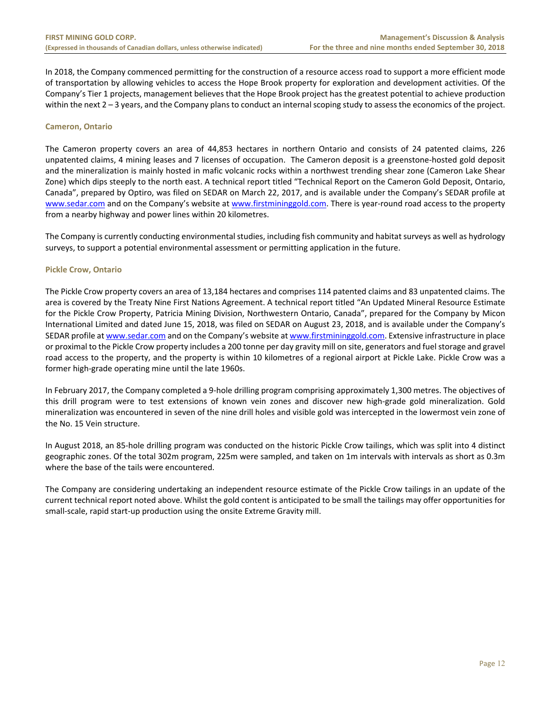In 2018, the Company commenced permitting for the construction of a resource access road to support a more efficient mode of transportation by allowing vehicles to access the Hope Brook property for exploration and development activities. Of the Company's Tier 1 projects, management believes that the Hope Brook project has the greatest potential to achieve production within the next 2 – 3 years, and the Company plans to conduct an internal scoping study to assess the economics of the project.

## **Cameron, Ontario**

The Cameron property covers an area of 44,853 hectares in northern Ontario and consists of 24 patented claims, 226 unpatented claims, 4 mining leases and 7 licenses of occupation. The Cameron deposit is a greenstone‐hosted gold deposit and the mineralization is mainly hosted in mafic volcanic rocks within a northwest trending shear zone (Cameron Lake Shear Zone) which dips steeply to the north east. A technical report titled "Technical Report on the Cameron Gold Deposit, Ontario, Canada", prepared by Optiro, was filed on SEDAR on March 22, 2017, and is available under the Company's SEDAR profile at www.sedar.com and on the Company's website at www.firstmininggold.com. There is year-round road access to the property from a nearby highway and power lines within 20 kilometres.

The Company is currently conducting environmental studies, including fish community and habitat surveys as well as hydrology surveys, to support a potential environmental assessment or permitting application in the future.

# **Pickle Crow, Ontario**

The Pickle Crow property covers an area of 13,184 hectares and comprises 114 patented claims and 83 unpatented claims. The area is covered by the Treaty Nine First Nations Agreement. A technical report titled "An Updated Mineral Resource Estimate for the Pickle Crow Property, Patricia Mining Division, Northwestern Ontario, Canada", prepared for the Company by Micon International Limited and dated June 15, 2018, was filed on SEDAR on August 23, 2018, and is available under the Company's SEDAR profile at www.sedar.com and on the Company's website at www.firstmininggold.com. Extensive infrastructure in place or proximal to the Pickle Crow property includes a 200 tonne per day gravity mill on site, generators and fuel storage and gravel road access to the property, and the property is within 10 kilometres of a regional airport at Pickle Lake. Pickle Crow was a former high‐grade operating mine until the late 1960s.

In February 2017, the Company completed a 9-hole drilling program comprising approximately 1,300 metres. The objectives of this drill program were to test extensions of known vein zones and discover new high-grade gold mineralization. Gold mineralization was encountered in seven of the nine drill holes and visible gold was intercepted in the lowermost vein zone of the No. 15 Vein structure.

In August 2018, an 85‐hole drilling program was conducted on the historic Pickle Crow tailings, which was split into 4 distinct geographic zones. Of the total 302m program, 225m were sampled, and taken on 1m intervals with intervals as short as 0.3m where the base of the tails were encountered.

The Company are considering undertaking an independent resource estimate of the Pickle Crow tailings in an update of the current technical report noted above. Whilst the gold content is anticipated to be small the tailings may offer opportunities for small-scale, rapid start-up production using the onsite Extreme Gravity mill.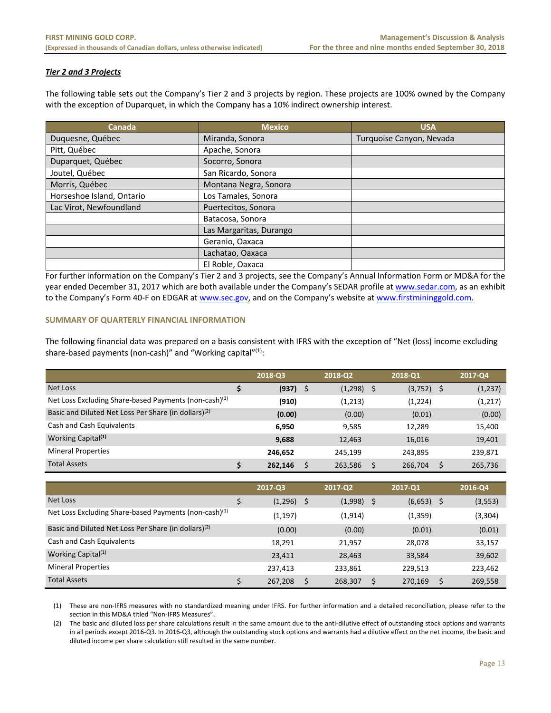# *Tier 2 and 3 Projects*

The following table sets out the Company's Tier 2 and 3 projects by region. These projects are 100% owned by the Company with the exception of Duparquet, in which the Company has a 10% indirect ownership interest.

| Canada                    | <b>Mexico</b>           | <b>USA</b>               |
|---------------------------|-------------------------|--------------------------|
| Duquesne, Québec          | Miranda, Sonora         | Turquoise Canyon, Nevada |
| Pitt, Québec              | Apache, Sonora          |                          |
| Duparquet, Québec         | Socorro, Sonora         |                          |
| Joutel, Québec            | San Ricardo, Sonora     |                          |
| Morris, Québec            | Montana Negra, Sonora   |                          |
| Horseshoe Island, Ontario | Los Tamales, Sonora     |                          |
| Lac Virot, Newfoundland   | Puertecitos, Sonora     |                          |
|                           | Batacosa, Sonora        |                          |
|                           | Las Margaritas, Durango |                          |
|                           | Geranio, Oaxaca         |                          |
|                           | Lachatao, Oaxaca        |                          |
|                           | El Roble, Oaxaca        |                          |

For further information on the Company's Tier 2 and 3 projects, see the Company's Annual Information Form or MD&A for the year ended December 31, 2017 which are both available under the Company's SEDAR profile at www.sedar.com, as an exhibit to the Company's Form 40-F on EDGAR at www.sec.gov, and on the Company's website at www.firstmininggold.com.

# **SUMMARY OF QUARTERLY FINANCIAL INFORMATION**

The following financial data was prepared on a basis consistent with IFRS with the exception of "Net (loss) income excluding share-based payments (non-cash)" and "Working capital"<sup>(1)</sup>:

|                                                                   | 2018-Q3    | 2018-02 | 2018-Q1            | 2017-Q4 |
|-------------------------------------------------------------------|------------|---------|--------------------|---------|
| Net Loss                                                          | $(937)$ \$ | (1,298) | \$<br>$(3,752)$ \$ | (1,237) |
| Net Loss Excluding Share-based Payments (non-cash) <sup>(1)</sup> | (910)      | (1,213) | (1,224)            | (1,217) |
| Basic and Diluted Net Loss Per Share (in dollars) <sup>(2)</sup>  | (0.00)     | (0.00)  | (0.01)             | (0.00)  |
| Cash and Cash Equivalents                                         | 6.950      | 9.585   | 12,289             | 15,400  |
| Working Capital <sup>(1)</sup>                                    | 9,688      | 12,463  | 16,016             | 19,401  |
| <b>Mineral Properties</b>                                         | 246.652    | 245.199 | 243.895            | 239,871 |
| <b>Total Assets</b>                                               | 262.146    | 263,586 | Ś<br>266,704       | 265,736 |

|                                                                   | 2017-03  |    | 2017-02  |   | $2017 - 01$  |   | 2016-Q4  |
|-------------------------------------------------------------------|----------|----|----------|---|--------------|---|----------|
| Net Loss                                                          | (1,296)  | -S | (1,998)  | S | $(6,653)$ \$ |   | (3, 553) |
| Net Loss Excluding Share-based Payments (non-cash) <sup>(1)</sup> | (1, 197) |    | (1, 914) |   | (1,359)      |   | (3,304)  |
| Basic and Diluted Net Loss Per Share (in dollars) <sup>(2)</sup>  | (0.00)   |    | (0.00)   |   | (0.01)       |   | (0.01)   |
| Cash and Cash Equivalents                                         | 18,291   |    | 21,957   |   | 28,078       |   | 33,157   |
| Working Capital <sup>(1)</sup>                                    | 23,411   |    | 28,463   |   | 33,584       |   | 39,602   |
| <b>Mineral Properties</b>                                         | 237,413  |    | 233,861  |   | 229,513      |   | 223,462  |
| <b>Total Assets</b>                                               | 267,208  | Ś  | 268,307  |   | 270,169      | Ś | 269,558  |

(1) These are non‐IFRS measures with no standardized meaning under IFRS. For further information and a detailed reconciliation, please refer to the section in this MD&A titled "Non‐IFRS Measures".

(2) The basic and diluted loss per share calculations result in the same amount due to the anti‐dilutive effect of outstanding stock options and warrants in all periods except 2016‐Q3. In 2016‐Q3, although the outstanding stock options and warrants had a dilutive effect on the net income, the basic and diluted income per share calculation still resulted in the same number.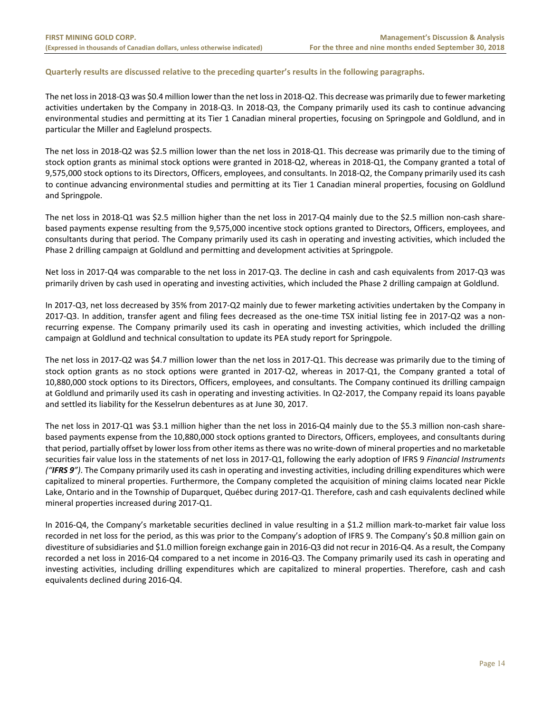# **Quarterly results are discussed relative to the preceding quarter's results in the following paragraphs.**

The net loss in 2018‐Q3 was \$0.4 million lower than the net loss in 2018‐Q2. This decrease was primarily due to fewer marketing activities undertaken by the Company in 2018‐Q3. In 2018‐Q3, the Company primarily used its cash to continue advancing environmental studies and permitting at its Tier 1 Canadian mineral properties, focusing on Springpole and Goldlund, and in particular the Miller and Eaglelund prospects.

The net loss in 2018‐Q2 was \$2.5 million lower than the net loss in 2018‐Q1. This decrease was primarily due to the timing of stock option grants as minimal stock options were granted in 2018‐Q2, whereas in 2018‐Q1, the Company granted a total of 9,575,000 stock options to its Directors, Officers, employees, and consultants. In 2018‐Q2, the Company primarily used its cash to continue advancing environmental studies and permitting at its Tier 1 Canadian mineral properties, focusing on Goldlund and Springpole.

The net loss in 2018-Q1 was \$2.5 million higher than the net loss in 2017-Q4 mainly due to the \$2.5 million non-cash sharebased payments expense resulting from the 9,575,000 incentive stock options granted to Directors, Officers, employees, and consultants during that period. The Company primarily used its cash in operating and investing activities, which included the Phase 2 drilling campaign at Goldlund and permitting and development activities at Springpole.

Net loss in 2017‐Q4 was comparable to the net loss in 2017‐Q3. The decline in cash and cash equivalents from 2017‐Q3 was primarily driven by cash used in operating and investing activities, which included the Phase 2 drilling campaign at Goldlund.

In 2017‐Q3, net loss decreased by 35% from 2017‐Q2 mainly due to fewer marketing activities undertaken by the Company in 2017‐Q3. In addition, transfer agent and filing fees decreased as the one‐time TSX initial listing fee in 2017‐Q2 was a non‐ recurring expense. The Company primarily used its cash in operating and investing activities, which included the drilling campaign at Goldlund and technical consultation to update its PEA study report for Springpole.

The net loss in 2017‐Q2 was \$4.7 million lower than the net loss in 2017‐Q1. This decrease was primarily due to the timing of stock option grants as no stock options were granted in 2017‐Q2, whereas in 2017‐Q1, the Company granted a total of 10,880,000 stock options to its Directors, Officers, employees, and consultants. The Company continued its drilling campaign at Goldlund and primarily used its cash in operating and investing activities. In Q2‐2017, the Company repaid its loans payable and settled its liability for the Kesselrun debentures as at June 30, 2017.

The net loss in 2017‐Q1 was \$3.1 million higher than the net loss in 2016‐Q4 mainly due to the \$5.3 million non‐cash share‐ based payments expense from the 10,880,000 stock options granted to Directors, Officers, employees, and consultants during that period, partially offset by lower loss from other items as there was no write‐down of mineral properties and no marketable securities fair value loss in the statements of net loss in 2017‐Q1, following the early adoption of IFRS 9 *Financial Instruments ("IFRS 9")*. The Company primarily used its cash in operating and investing activities, including drilling expenditures which were capitalized to mineral properties. Furthermore, the Company completed the acquisition of mining claims located near Pickle Lake, Ontario and in the Township of Duparquet, Québec during 2017‐Q1. Therefore, cash and cash equivalents declined while mineral properties increased during 2017‐Q1.

In 2016-Q4, the Company's marketable securities declined in value resulting in a \$1.2 million mark-to-market fair value loss recorded in net loss for the period, as this was prior to the Company's adoption of IFRS 9. The Company's \$0.8 million gain on divestiture of subsidiaries and \$1.0 million foreign exchange gain in 2016‐Q3 did not recur in 2016‐Q4. As a result, the Company recorded a net loss in 2016‐Q4 compared to a net income in 2016‐Q3. The Company primarily used its cash in operating and investing activities, including drilling expenditures which are capitalized to mineral properties. Therefore, cash and cash equivalents declined during 2016‐Q4.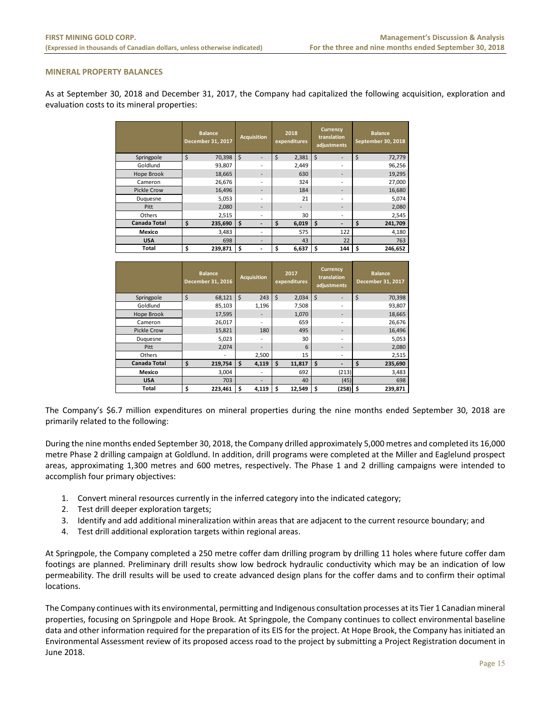#### **MINERAL PROPERTY BALANCES**

As at September 30, 2018 and December 31, 2017, the Company had capitalized the following acquisition, exploration and evaluation costs to its mineral properties:

|                     | <b>Balance</b><br>December 31, 2017 | <b>Acquisition</b>       | 2018<br>expenditures     | <b>Currency</b><br>translation<br>adjustments | <b>Balance</b><br>September 30, 2018 |
|---------------------|-------------------------------------|--------------------------|--------------------------|-----------------------------------------------|--------------------------------------|
| Springpole          | \$<br>70,398                        | $\dot{\mathsf{S}}$       | \$<br>2,381              | Ś                                             | \$<br>72,779                         |
| Goldlund            | 93,807                              | $\overline{\phantom{0}}$ | 2,449                    | ٠                                             | 96,256                               |
| Hope Brook          | 18,665                              | -                        | 630                      | -                                             | 19,295                               |
| Cameron             | 26,676                              | $\overline{\phantom{0}}$ | 324                      | ٠                                             | 27,000                               |
| <b>Pickle Crow</b>  | 16,496                              | $\overline{\phantom{0}}$ | 184                      | -                                             | 16,680                               |
| Duquesne            | 5,053                               | ۰                        | 21                       | ٠                                             | 5,074                                |
| Pitt                | 2,080                               | $\overline{\phantom{0}}$ | $\overline{\phantom{a}}$ | -                                             | 2,080                                |
| Others              | 2,515                               | -                        | 30                       | $\overline{\phantom{a}}$                      | 2,545                                |
| <b>Canada Total</b> | \$<br>235,690                       | \$                       | \$<br>6,019              | \$                                            | \$<br>241,709                        |
| Mexico              | 3,483                               | $\overline{\phantom{a}}$ | 575                      | 122                                           | 4,180                                |
| <b>USA</b>          | 698                                 |                          | 43                       | 22                                            | 763                                  |
| Total               | 239,871<br>\$                       | \$                       | \$<br>6,637              | \$<br>144                                     | \$<br>246,652                        |

|                     | <b>Balance</b><br>December 31, 2016 |    | <b>Acquisition</b>       |    | 2017<br>expenditures | <b>Currency</b><br>translation<br>adjustments |            |         | <b>Balance</b><br>December 31, 2017 |
|---------------------|-------------------------------------|----|--------------------------|----|----------------------|-----------------------------------------------|------------|---------|-------------------------------------|
| Springpole          | \$<br>68,121                        | \$ | 243                      | \$ | 2,034                | \$                                            | -          | $\zeta$ | 70,398                              |
| Goldlund            | 85,103                              |    | 1,196                    |    | 7,508                |                                               | ٠          |         | 93,807                              |
| Hope Brook          | 17,595                              |    |                          |    | 1,070                |                                               |            |         | 18,665                              |
| Cameron             | 26,017                              |    | $\overline{\phantom{a}}$ |    | 659                  |                                               |            |         | 26,676                              |
| <b>Pickle Crow</b>  | 15,821                              |    | 180                      |    | 495                  |                                               |            |         | 16,496                              |
| Duquesne            | 5,023                               |    | $\overline{\phantom{0}}$ |    | 30                   |                                               |            |         | 5,053                               |
| Pitt                | 2,074                               |    | $\overline{\phantom{0}}$ |    | 6                    |                                               |            |         | 2,080                               |
| Others              |                                     |    | 2,500                    |    | 15                   |                                               | ۰.         |         | 2,515                               |
| <b>Canada Total</b> | \$<br>219,754                       | Ś  | 4,119                    | Ś  | 11,817               | \$                                            |            | \$      | 235,690                             |
| Mexico              | 3,004                               |    |                          |    | 692                  |                                               | (213)      |         | 3,483                               |
| <b>USA</b>          | 703                                 |    |                          |    | 40                   |                                               | (45)       |         | 698                                 |
| Total               | \$<br>223,461                       | \$ | 4,119                    | s  | 12,549               | \$                                            | $(258)$ \$ |         | 239,871                             |

The Company's \$6.7 million expenditures on mineral properties during the nine months ended September 30, 2018 are primarily related to the following:

During the nine months ended September 30, 2018, the Company drilled approximately 5,000 metres and completed its 16,000 metre Phase 2 drilling campaign at Goldlund. In addition, drill programs were completed at the Miller and Eaglelund prospect areas, approximating 1,300 metres and 600 metres, respectively. The Phase 1 and 2 drilling campaigns were intended to accomplish four primary objectives:

- 1. Convert mineral resources currently in the inferred category into the indicated category;
- 2. Test drill deeper exploration targets;
- 3. Identify and add additional mineralization within areas that are adjacent to the current resource boundary; and
- 4. Test drill additional exploration targets within regional areas.

At Springpole, the Company completed a 250 metre coffer dam drilling program by drilling 11 holes where future coffer dam footings are planned. Preliminary drill results show low bedrock hydraulic conductivity which may be an indication of low permeability. The drill results will be used to create advanced design plans for the coffer dams and to confirm their optimal locations.

The Company continues with its environmental, permitting and Indigenous consultation processes at its Tier 1 Canadian mineral properties, focusing on Springpole and Hope Brook. At Springpole, the Company continues to collect environmental baseline data and other information required for the preparation of its EIS for the project. At Hope Brook, the Company has initiated an Environmental Assessment review of its proposed access road to the project by submitting a Project Registration document in June 2018.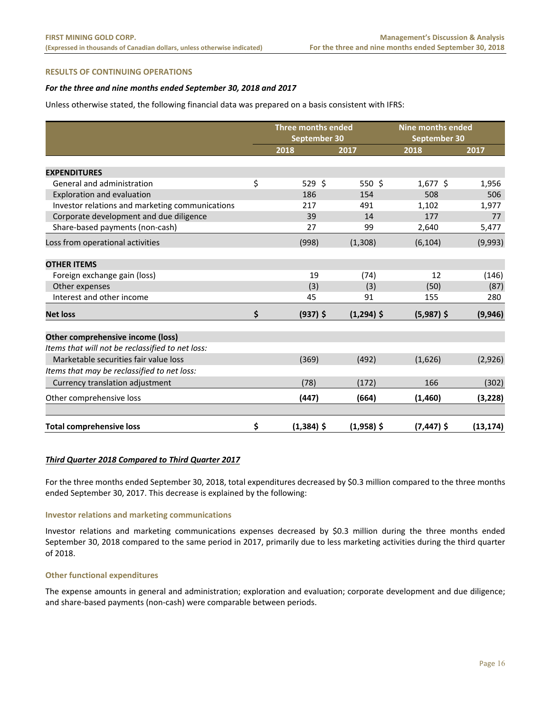#### **RESULTS OF CONTINUING OPERATIONS**

# For the three and nine months ended September 30, 2018 and 2017

Unless otherwise stated, the following financial data was prepared on a basis consistent with IFRS:

|                                                  | Three months ended<br>September 30 |              | <b>Nine months ended</b><br>September 30 |           |
|--------------------------------------------------|------------------------------------|--------------|------------------------------------------|-----------|
|                                                  | 2018                               | 2017         | 2018                                     | 2017      |
| <b>EXPENDITURES</b>                              |                                    |              |                                          |           |
| General and administration                       | \$<br>529 \$                       | 550 \$       | $1,677$ \$                               | 1,956     |
| Exploration and evaluation                       | 186                                | 154          | 508                                      | 506       |
| Investor relations and marketing communications  | 217                                | 491          | 1,102                                    | 1,977     |
| Corporate development and due diligence          | 39                                 | 14           | 177                                      | 77        |
| Share-based payments (non-cash)                  | 27                                 | 99           | 2,640                                    | 5,477     |
| Loss from operational activities                 | (998)                              | (1,308)      | (6, 104)                                 | (9,993)   |
| <b>OTHER ITEMS</b>                               |                                    |              |                                          |           |
| Foreign exchange gain (loss)                     | 19                                 | (74)         | 12                                       | (146)     |
| Other expenses                                   | (3)                                | (3)          | (50)                                     | (87)      |
| Interest and other income                        | 45                                 | 91           | 155                                      | 280       |
| <b>Net loss</b>                                  | \$<br>$(937)$ \$                   | $(1,294)$ \$ | $(5,987)$ \$                             | (9,946)   |
| Other comprehensive income (loss)                |                                    |              |                                          |           |
| Items that will not be reclassified to net loss: |                                    |              |                                          |           |
| Marketable securities fair value loss            | (369)                              | (492)        | (1,626)                                  | (2,926)   |
| Items that may be reclassified to net loss:      |                                    |              |                                          |           |
| Currency translation adjustment                  | (78)                               | (172)        | 166                                      | (302)     |
| Other comprehensive loss                         | (447)                              | (664)        | (1,460)                                  | (3, 228)  |
| <b>Total comprehensive loss</b>                  | \$<br>$(1,384)$ \$                 | $(1,958)$ \$ | $(7, 447)$ \$                            | (13, 174) |

#### *Third Quarter 2018 Compared to Third Quarter 2017*

For the three months ended September 30, 2018, total expenditures decreased by \$0.3 million compared to the three months ended September 30, 2017. This decrease is explained by the following:

#### **Investor relations and marketing communications**

Investor relations and marketing communications expenses decreased by \$0.3 million during the three months ended September 30, 2018 compared to the same period in 2017, primarily due to less marketing activities during the third quarter of 2018.

#### **Other functional expenditures**

The expense amounts in general and administration; exploration and evaluation; corporate development and due diligence; and share‐based payments (non‐cash) were comparable between periods.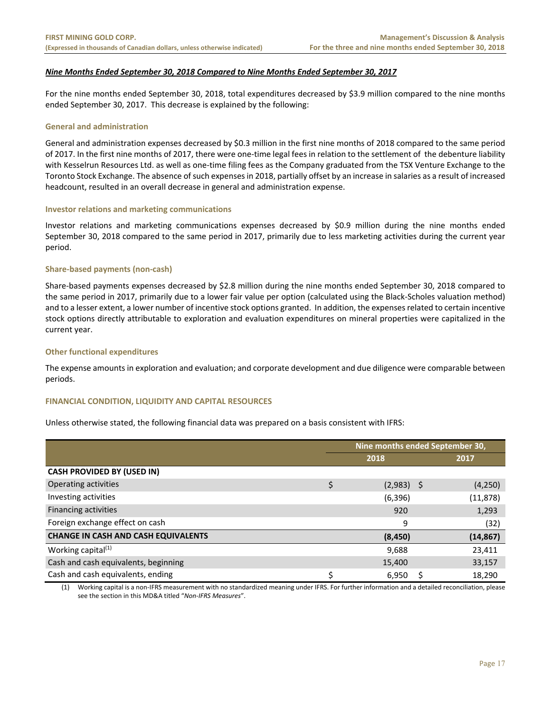# *Nine Months Ended September 30, 2018 Compared to Nine Months Ended September 30, 2017*

For the nine months ended September 30, 2018, total expenditures decreased by \$3.9 million compared to the nine months ended September 30, 2017. This decrease is explained by the following:

#### **General and administration**

General and administration expenses decreased by \$0.3 million in the first nine months of 2018 compared to the same period of 2017. In the first nine months of 2017, there were one‐time legal fees in relation to the settlement of the debenture liability with Kesselrun Resources Ltd. as well as one-time filing fees as the Company graduated from the TSX Venture Exchange to the Toronto Stock Exchange. The absence of such expenses in 2018, partially offset by an increase in salaries as a result of increased headcount, resulted in an overall decrease in general and administration expense.

#### **Investor relations and marketing communications**

Investor relations and marketing communications expenses decreased by \$0.9 million during the nine months ended September 30, 2018 compared to the same period in 2017, primarily due to less marketing activities during the current year period.

#### **Share‐based payments (non‐cash)**

Share‐based payments expenses decreased by \$2.8 million during the nine months ended September 30, 2018 compared to the same period in 2017, primarily due to a lower fair value per option (calculated using the Black‐Scholes valuation method) and to a lesser extent, a lower number of incentive stock options granted. In addition, the expenses related to certain incentive stock options directly attributable to exploration and evaluation expenditures on mineral properties were capitalized in the current year.

## **Other functional expenditures**

The expense amounts in exploration and evaluation; and corporate development and due diligence were comparable between periods.

## **FINANCIAL CONDITION, LIQUIDITY AND CAPITAL RESOURCES**

Unless otherwise stated, the following financial data was prepared on a basis consistent with IFRS:

|                                            | Nine months ended September 30, |              |      |           |  |  |  |
|--------------------------------------------|---------------------------------|--------------|------|-----------|--|--|--|
|                                            |                                 | 2018         | 2017 |           |  |  |  |
| <b>CASH PROVIDED BY (USED IN)</b>          |                                 |              |      |           |  |  |  |
| Operating activities                       | \$                              | $(2,983)$ \$ |      | (4,250)   |  |  |  |
| Investing activities                       |                                 | (6, 396)     |      | (11, 878) |  |  |  |
| Financing activities                       |                                 | 920          |      | 1,293     |  |  |  |
| Foreign exchange effect on cash            |                                 | 9            |      | (32)      |  |  |  |
| <b>CHANGE IN CASH AND CASH EQUIVALENTS</b> |                                 | (8, 450)     |      | (14, 867) |  |  |  |
| Working capital <sup>(1)</sup>             |                                 | 9,688        |      | 23,411    |  |  |  |
| Cash and cash equivalents, beginning       |                                 | 15,400       |      | 33,157    |  |  |  |
| Cash and cash equivalents, ending          | Ś                               | 6,950        |      | 18,290    |  |  |  |

(1) Working capital is a non‐IFRS measurement with no standardized meaning under IFRS. For further information and a detailed reconciliation, please see the section in this MD&A titled "*Non‐IFRS Measures*".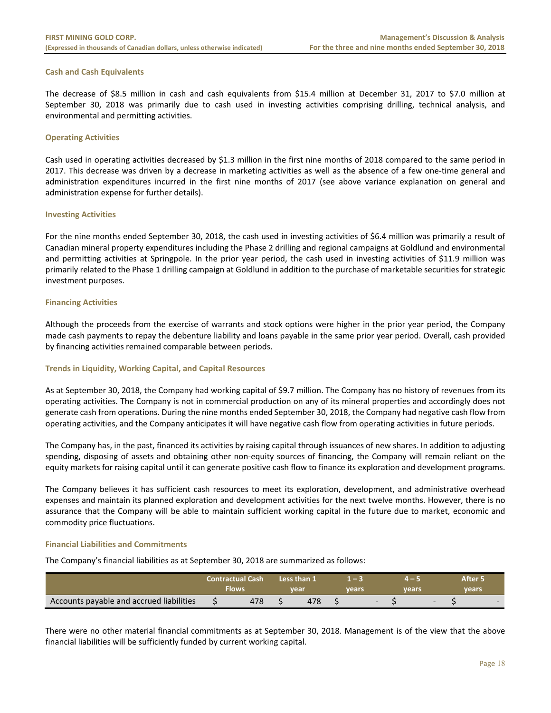#### **Cash and Cash Equivalents**

The decrease of \$8.5 million in cash and cash equivalents from \$15.4 million at December 31, 2017 to \$7.0 million at September 30, 2018 was primarily due to cash used in investing activities comprising drilling, technical analysis, and environmental and permitting activities.

#### **Operating Activities**

Cash used in operating activities decreased by \$1.3 million in the first nine months of 2018 compared to the same period in 2017. This decrease was driven by a decrease in marketing activities as well as the absence of a few one‐time general and administration expenditures incurred in the first nine months of 2017 (see above variance explanation on general and administration expense for further details).

#### **Investing Activities**

For the nine months ended September 30, 2018, the cash used in investing activities of \$6.4 million was primarily a result of Canadian mineral property expenditures including the Phase 2 drilling and regional campaigns at Goldlund and environmental and permitting activities at Springpole. In the prior year period, the cash used in investing activities of \$11.9 million was primarily related to the Phase 1 drilling campaign at Goldlund in addition to the purchase of marketable securities for strategic investment purposes.

## **Financing Activities**

Although the proceeds from the exercise of warrants and stock options were higher in the prior year period, the Company made cash payments to repay the debenture liability and loans payable in the same prior year period. Overall, cash provided by financing activities remained comparable between periods.

## **Trends in Liquidity, Working Capital, and Capital Resources**

As at September 30, 2018, the Company had working capital of \$9.7 million. The Company has no history of revenues from its operating activities. The Company is not in commercial production on any of its mineral properties and accordingly does not generate cash from operations. During the nine months ended September 30, 2018, the Company had negative cash flow from operating activities, and the Company anticipates it will have negative cash flow from operating activities in future periods.

The Company has, in the past, financed its activities by raising capital through issuances of new shares. In addition to adjusting spending, disposing of assets and obtaining other non-equity sources of financing, the Company will remain reliant on the equity markets for raising capital until it can generate positive cash flow to finance its exploration and development programs.

The Company believes it has sufficient cash resources to meet its exploration, development, and administrative overhead expenses and maintain its planned exploration and development activities for the next twelve months. However, there is no assurance that the Company will be able to maintain sufficient working capital in the future due to market, economic and commodity price fluctuations.

## **Financial Liabilities and Commitments**

The Company's financial liabilities as at September 30, 2018 are summarized as follows:

|                                          | <b>Contractual Cash</b><br>Flows |  | Less than 1<br>vear | vears |  | vears |  | After 5<br>vears |   |
|------------------------------------------|----------------------------------|--|---------------------|-------|--|-------|--|------------------|---|
| Accounts payable and accrued liabilities | 478                              |  | 478                 |       |  |       |  |                  | - |

There were no other material financial commitments as at September 30, 2018. Management is of the view that the above financial liabilities will be sufficiently funded by current working capital.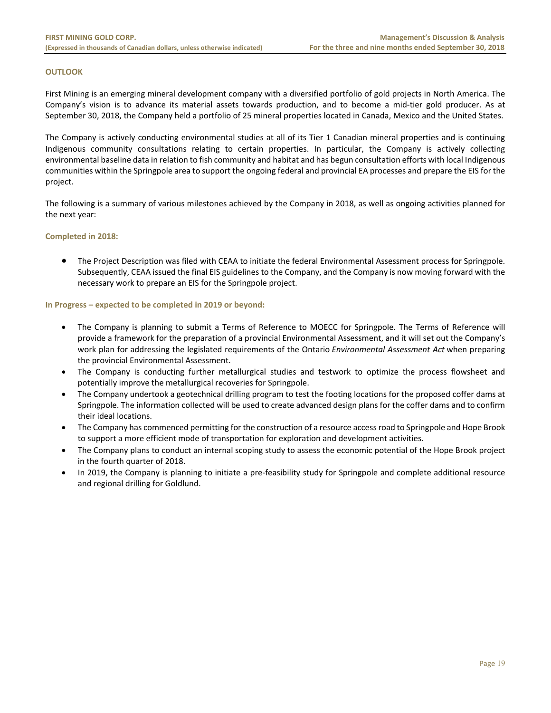## **OUTLOOK**

First Mining is an emerging mineral development company with a diversified portfolio of gold projects in North America. The Company's vision is to advance its material assets towards production, and to become a mid-tier gold producer. As at September 30, 2018, the Company held a portfolio of 25 mineral properties located in Canada, Mexico and the United States.

The Company is actively conducting environmental studies at all of its Tier 1 Canadian mineral properties and is continuing Indigenous community consultations relating to certain properties. In particular, the Company is actively collecting environmental baseline data in relation to fish community and habitat and has begun consultation efforts with local Indigenous communities within the Springpole area to support the ongoing federal and provincial EA processes and prepare the EIS for the project.

The following is a summary of various milestones achieved by the Company in 2018, as well as ongoing activities planned for the next year:

#### **Completed in 2018:**

 The Project Description was filed with CEAA to initiate the federal Environmental Assessment process for Springpole. Subsequently, CEAA issued the final EIS guidelines to the Company, and the Company is now moving forward with the necessary work to prepare an EIS for the Springpole project.

#### **In Progress – expected to be completed in 2019 or beyond:**

- The Company is planning to submit a Terms of Reference to MOECC for Springpole. The Terms of Reference will provide a framework for the preparation of a provincial Environmental Assessment, and it will set out the Company's work plan for addressing the legislated requirements of the Ontario *Environmental Assessment Act* when preparing the provincial Environmental Assessment.
- The Company is conducting further metallurgical studies and testwork to optimize the process flowsheet and potentially improve the metallurgical recoveries for Springpole.
- The Company undertook a geotechnical drilling program to test the footing locations for the proposed coffer dams at Springpole. The information collected will be used to create advanced design plans for the coffer dams and to confirm their ideal locations.
- The Company has commenced permitting for the construction of a resource access road to Springpole and Hope Brook to support a more efficient mode of transportation for exploration and development activities.
- The Company plans to conduct an internal scoping study to assess the economic potential of the Hope Brook project in the fourth quarter of 2018.
- In 2019, the Company is planning to initiate a pre-feasibility study for Springpole and complete additional resource and regional drilling for Goldlund.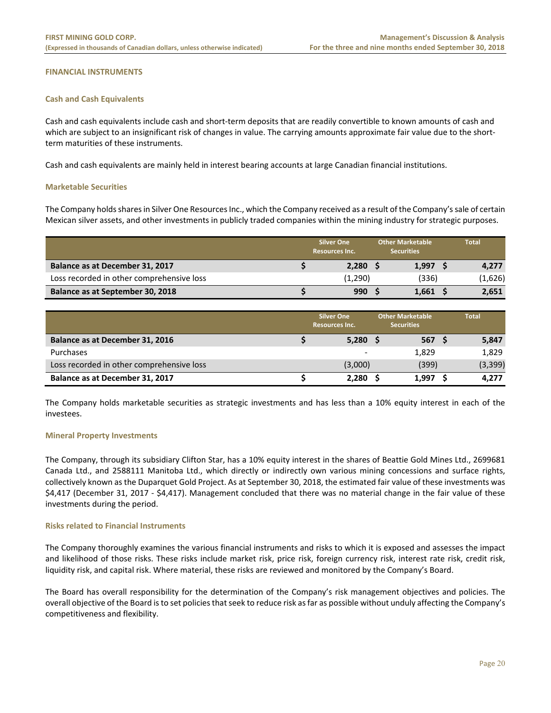## **FINANCIAL INSTRUMENTS**

#### **Cash and Cash Equivalents**

Cash and cash equivalents include cash and short‐term deposits that are readily convertible to known amounts of cash and which are subject to an insignificant risk of changes in value. The carrying amounts approximate fair value due to the shortterm maturities of these instruments.

Cash and cash equivalents are mainly held in interest bearing accounts at large Canadian financial institutions.

#### **Marketable Securities**

The Company holds shares in Silver One Resources Inc., which the Company received as a result of the Company's sale of certain Mexican silver assets, and other investments in publicly traded companies within the mining industry for strategic purposes.

|                                           | <b>Silver One</b><br>Resources Inc. |            | <b>Other Marketable</b><br><b>Securities</b> |            |  | <b>Total</b> |
|-------------------------------------------|-------------------------------------|------------|----------------------------------------------|------------|--|--------------|
| Balance as at December 31, 2017           |                                     | $2,280$ \$ |                                              | $1,997$ \$ |  | 4,277        |
| Loss recorded in other comprehensive loss |                                     | (1,290)    |                                              | (336)      |  | (1,626)      |
| Balance as at September 30, 2018          |                                     | 990        |                                              | $1,661$ \$ |  | 2,651        |

|                                           | <b>Silver One</b><br><b>Resources Inc.</b> |            |  | <b>Other Marketable</b><br><b>Securities</b> | <b>Total</b> |          |  |
|-------------------------------------------|--------------------------------------------|------------|--|----------------------------------------------|--------------|----------|--|
| Balance as at December 31, 2016           |                                            | $5,280$ \$ |  | 567 \$                                       |              | 5,847    |  |
| Purchases                                 |                                            | -          |  | 1,829                                        |              | 1,829    |  |
| Loss recorded in other comprehensive loss |                                            | (3,000)    |  | (399)                                        |              | (3, 399) |  |
| Balance as at December 31, 2017           |                                            | 2,280      |  | 1.997                                        |              | 4,277    |  |

The Company holds marketable securities as strategic investments and has less than a 10% equity interest in each of the investees.

## **Mineral Property Investments**

The Company, through its subsidiary Clifton Star, has a 10% equity interest in the shares of Beattie Gold Mines Ltd., 2699681 Canada Ltd., and 2588111 Manitoba Ltd., which directly or indirectly own various mining concessions and surface rights, collectively known as the Duparquet Gold Project. As at September 30, 2018, the estimated fair value of these investments was \$4,417 (December 31, 2017 ‐ \$4,417). Management concluded that there was no material change in the fair value of these investments during the period.

#### **Risks related to Financial Instruments**

The Company thoroughly examines the various financial instruments and risks to which it is exposed and assesses the impact and likelihood of those risks. These risks include market risk, price risk, foreign currency risk, interest rate risk, credit risk, liquidity risk, and capital risk. Where material, these risks are reviewed and monitored by the Company's Board.

The Board has overall responsibility for the determination of the Company's risk management objectives and policies. The overall objective of the Board is to set policies that seek to reduce risk as far as possible without unduly affecting the Company's competitiveness and flexibility.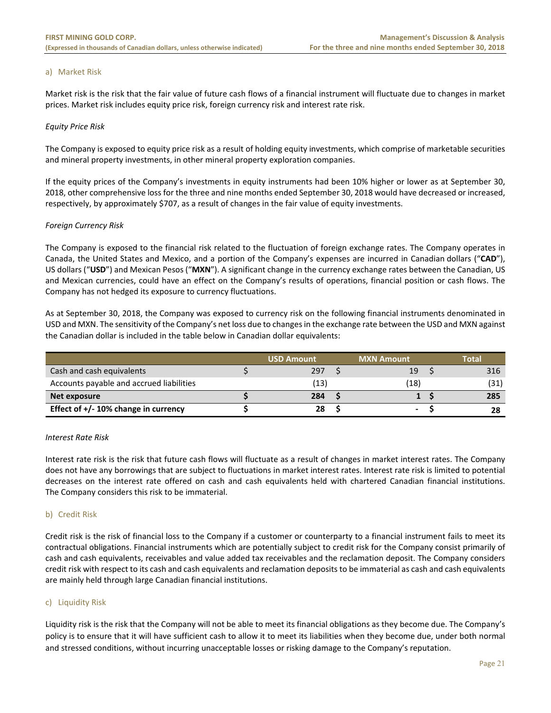#### a) Market Risk

Market risk is the risk that the fair value of future cash flows of a financial instrument will fluctuate due to changes in market prices. Market risk includes equity price risk, foreign currency risk and interest rate risk.

#### *Equity Price Risk*

The Company is exposed to equity price risk as a result of holding equity investments, which comprise of marketable securities and mineral property investments, in other mineral property exploration companies.

If the equity prices of the Company's investments in equity instruments had been 10% higher or lower as at September 30, 2018, other comprehensive loss for the three and nine months ended September 30, 2018 would have decreased or increased, respectively, by approximately \$707, as a result of changes in the fair value of equity investments.

## *Foreign Currency Risk*

The Company is exposed to the financial risk related to the fluctuation of foreign exchange rates. The Company operates in Canada, the United States and Mexico, and a portion of the Company's expenses are incurred in Canadian dollars ("**CAD**"), US dollars ("**USD**") and Mexican Pesos ("**MXN**"). A significant change in the currency exchange rates between the Canadian, US and Mexican currencies, could have an effect on the Company's results of operations, financial position or cash flows. The Company has not hedged its exposure to currency fluctuations.

As at September 30, 2018, the Company was exposed to currency risk on the following financial instruments denominated in USD and MXN. The sensitivity of the Company's net loss due to changes in the exchange rate between the USD and MXN against the Canadian dollar is included in the table below in Canadian dollar equivalents:

|                                          | <b>USD Amount</b> | <b>MXN Amount</b> | Total |
|------------------------------------------|-------------------|-------------------|-------|
| Cash and cash equivalents                | 297               | 19                | 316   |
| Accounts payable and accrued liabilities | (13)              | (18)              | (31)  |
| Net exposure                             | 284               |                   | 285   |
| Effect of $+/- 10\%$ change in currency  | 28                | ٠                 | 28    |

#### *Interest Rate Risk*

Interest rate risk is the risk that future cash flows will fluctuate as a result of changes in market interest rates. The Company does not have any borrowings that are subject to fluctuations in market interest rates. Interest rate risk is limited to potential decreases on the interest rate offered on cash and cash equivalents held with chartered Canadian financial institutions. The Company considers this risk to be immaterial.

## b) Credit Risk

Credit risk is the risk of financial loss to the Company if a customer or counterparty to a financial instrument fails to meet its contractual obligations. Financial instruments which are potentially subject to credit risk for the Company consist primarily of cash and cash equivalents, receivables and value added tax receivables and the reclamation deposit. The Company considers credit risk with respect to its cash and cash equivalents and reclamation deposits to be immaterial as cash and cash equivalents are mainly held through large Canadian financial institutions.

## c) Liquidity Risk

Liquidity risk is the risk that the Company will not be able to meet its financial obligations as they become due. The Company's policy is to ensure that it will have sufficient cash to allow it to meet its liabilities when they become due, under both normal and stressed conditions, without incurring unacceptable losses or risking damage to the Company's reputation.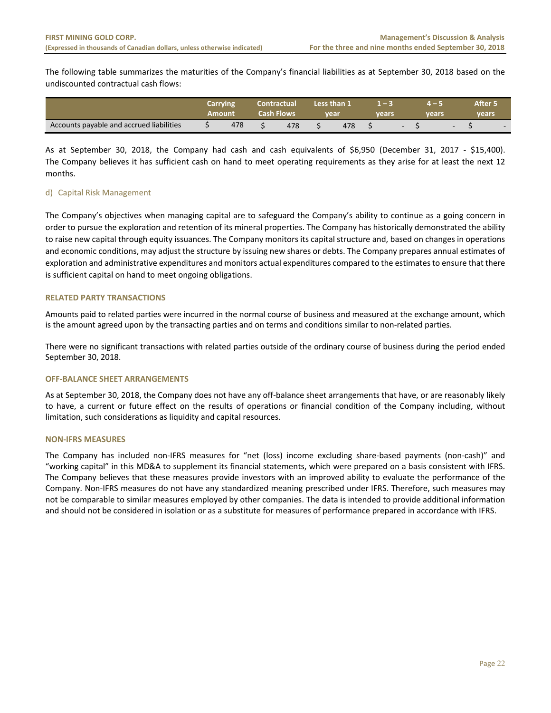The following table summarizes the maturities of the Company's financial liabilities as at September 30, 2018 based on the undiscounted contractual cash flows:

|                                          | Carrying<br>Amount | Contractual<br>Cash Flows | Less than 1<br>vear | vears |                          | vears |                          | After 5<br>vears |  |
|------------------------------------------|--------------------|---------------------------|---------------------|-------|--------------------------|-------|--------------------------|------------------|--|
| Accounts payable and accrued liabilities | 478                | 478                       | 478                 |       | $\overline{\phantom{a}}$ |       | $\overline{\phantom{0}}$ |                  |  |

As at September 30, 2018, the Company had cash and cash equivalents of \$6,950 (December 31, 2017 - \$15,400). The Company believes it has sufficient cash on hand to meet operating requirements as they arise for at least the next 12 months.

# d) Capital Risk Management

The Company's objectives when managing capital are to safeguard the Company's ability to continue as a going concern in order to pursue the exploration and retention of its mineral properties. The Company has historically demonstrated the ability to raise new capital through equity issuances. The Company monitors its capital structure and, based on changes in operations and economic conditions, may adjust the structure by issuing new shares or debts. The Company prepares annual estimates of exploration and administrative expenditures and monitors actual expenditures compared to the estimates to ensure that there is sufficient capital on hand to meet ongoing obligations.

# **RELATED PARTY TRANSACTIONS**

Amounts paid to related parties were incurred in the normal course of business and measured at the exchange amount, which is the amount agreed upon by the transacting parties and on terms and conditions similar to non-related parties.

There were no significant transactions with related parties outside of the ordinary course of business during the period ended September 30, 2018.

## **OFF‐BALANCE SHEET ARRANGEMENTS**

As at September 30, 2018, the Company does not have any off‐balance sheet arrangements that have, or are reasonably likely to have, a current or future effect on the results of operations or financial condition of the Company including, without limitation, such considerations as liquidity and capital resources.

## **NON‐IFRS MEASURES**

The Company has included non-IFRS measures for "net (loss) income excluding share-based payments (non-cash)" and "working capital" in this MD&A to supplement its financial statements, which were prepared on a basis consistent with IFRS. The Company believes that these measures provide investors with an improved ability to evaluate the performance of the Company. Non‐IFRS measures do not have any standardized meaning prescribed under IFRS. Therefore, such measures may not be comparable to similar measures employed by other companies. The data is intended to provide additional information and should not be considered in isolation or as a substitute for measures of performance prepared in accordance with IFRS.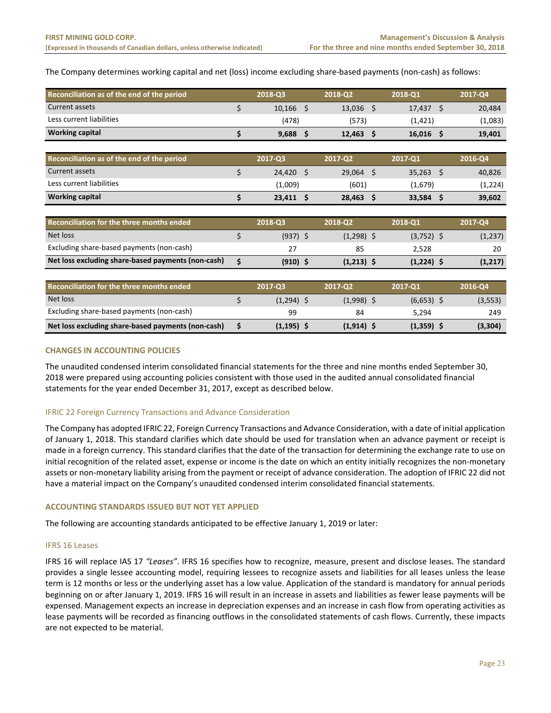The Company determines working capital and net (loss) income excluding share‐based payments (non‐cash) as follows:

| Reconciliation as of the end of the period         |    | 2018-Q3      |      | 2018-Q2      |   | 2018-Q1      |      | 2017-Q4  |
|----------------------------------------------------|----|--------------|------|--------------|---|--------------|------|----------|
| Current assets                                     | \$ | $10,166$ \$  |      | $13,036$ \$  |   | 17,437       | - \$ | 20,484   |
| Less current liabilities                           |    | (478)        |      | (573)        |   | (1, 421)     |      | (1,083)  |
| <b>Working capital</b>                             | \$ | $9,688$ \$   |      | 12,463       | Ŝ | $16,016$ \$  |      | 19,401   |
|                                                    |    |              |      |              |   |              |      |          |
| Reconciliation as of the end of the period         |    | 2017-Q3      |      | 2017-Q2      |   | 2017-Q1      |      | 2016-Q4  |
| Current assets                                     | \$ | 24,420       | - \$ | $29,064$ \$  |   | $35,263$ \$  |      | 40,826   |
| Less current liabilities                           |    | (1,009)      |      | (601)        |   | (1,679)      |      | (1,224)  |
| <b>Working capital</b>                             | \$ | $23,411$ \$  |      | 28,463       | Ŝ | $33,584$ \$  |      | 39,602   |
|                                                    |    |              |      |              |   |              |      |          |
| Reconciliation for the three months ended          |    | 2018-Q3      |      | 2018-Q2      |   | 2018-Q1      |      | 2017-Q4  |
| Net loss                                           | \$ | $(937)$ \$   |      | $(1,298)$ \$ |   | $(3,752)$ \$ |      | (1, 237) |
| Excluding share-based payments (non-cash)          |    | 27           |      | 85           |   | 2,528        |      | 20       |
| Net loss excluding share-based payments (non-cash) | Ś  | $(910)$ \$   |      | $(1,213)$ \$ |   | $(1,224)$ \$ |      | (1, 217) |
|                                                    |    |              |      |              |   |              |      |          |
| Reconciliation for the three months ended          |    | 2017-Q3      |      | 2017-Q2      |   | 2017-Q1      |      | 2016-Q4  |
| Net loss                                           | \$ | $(1,294)$ \$ |      | $(1,998)$ \$ |   | $(6,653)$ \$ |      | (3,553)  |

## **CHANGES IN ACCOUNTING POLICIES**

The unaudited condensed interim consolidated financial statements for the three and nine months ended September 30, 2018 were prepared using accounting policies consistent with those used in the audited annual consolidated financial statements for the year ended December 31, 2017, except as described below.

Excluding share-based payments (non-cash) 99 84 5,294 5,294 249 **Net loss excluding share‐based payments (non‐cash) \$ (1,195) \$ (1,914) \$ (1,359) \$ (3,304)** 

## IFRIC 22 Foreign Currency Transactions and Advance Consideration

The Company has adopted IFRIC 22, Foreign Currency Transactions and Advance Consideration, with a date of initial application of January 1, 2018. This standard clarifies which date should be used for translation when an advance payment or receipt is made in a foreign currency. This standard clarifies that the date of the transaction for determining the exchange rate to use on initial recognition of the related asset, expense or income is the date on which an entity initially recognizes the non-monetary assets or non‐monetary liability arising from the payment or receipt of advance consideration. The adoption of IFRIC 22 did not have a material impact on the Company's unaudited condensed interim consolidated financial statements.

## **ACCOUNTING STANDARDS ISSUED BUT NOT YET APPLIED**

The following are accounting standards anticipated to be effective January 1, 2019 or later:

## IFRS 16 Leases

IFRS 16 will replace IAS 17 *"Leases"*. IFRS 16 specifies how to recognize, measure, present and disclose leases. The standard provides a single lessee accounting model, requiring lessees to recognize assets and liabilities for all leases unless the lease term is 12 months or less or the underlying asset has a low value. Application of the standard is mandatory for annual periods beginning on or after January 1, 2019. IFRS 16 will result in an increase in assets and liabilities as fewer lease payments will be expensed. Management expects an increase in depreciation expenses and an increase in cash flow from operating activities as lease payments will be recorded as financing outflows in the consolidated statements of cash flows. Currently, these impacts are not expected to be material.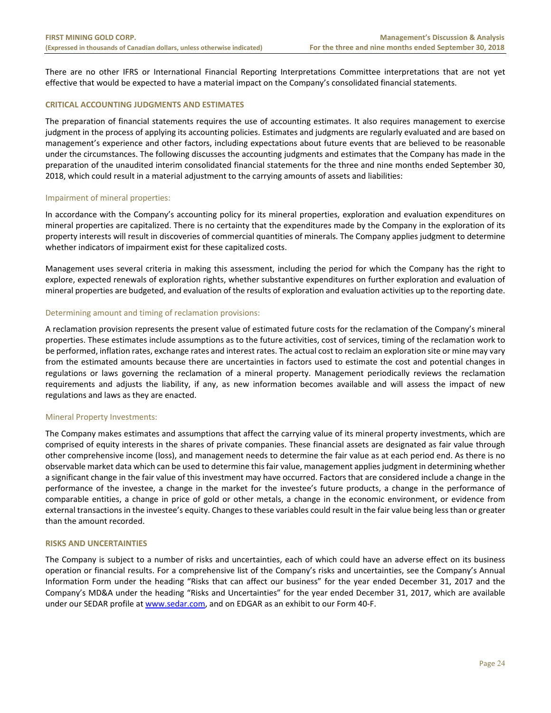There are no other IFRS or International Financial Reporting Interpretations Committee interpretations that are not yet effective that would be expected to have a material impact on the Company's consolidated financial statements.

## **CRITICAL ACCOUNTING JUDGMENTS AND ESTIMATES**

The preparation of financial statements requires the use of accounting estimates. It also requires management to exercise judgment in the process of applying its accounting policies. Estimates and judgments are regularly evaluated and are based on management's experience and other factors, including expectations about future events that are believed to be reasonable under the circumstances. The following discusses the accounting judgments and estimates that the Company has made in the preparation of the unaudited interim consolidated financial statements for the three and nine months ended September 30, 2018, which could result in a material adjustment to the carrying amounts of assets and liabilities:

## Impairment of mineral properties:

In accordance with the Company's accounting policy for its mineral properties, exploration and evaluation expenditures on mineral properties are capitalized. There is no certainty that the expenditures made by the Company in the exploration of its property interests will result in discoveries of commercial quantities of minerals. The Company applies judgment to determine whether indicators of impairment exist for these capitalized costs.

Management uses several criteria in making this assessment, including the period for which the Company has the right to explore, expected renewals of exploration rights, whether substantive expenditures on further exploration and evaluation of mineral properties are budgeted, and evaluation of the results of exploration and evaluation activities up to the reporting date.

#### Determining amount and timing of reclamation provisions:

A reclamation provision represents the present value of estimated future costs for the reclamation of the Company's mineral properties. These estimates include assumptions as to the future activities, cost of services, timing of the reclamation work to be performed, inflation rates, exchange rates and interest rates. The actual cost to reclaim an exploration site or mine may vary from the estimated amounts because there are uncertainties in factors used to estimate the cost and potential changes in regulations or laws governing the reclamation of a mineral property. Management periodically reviews the reclamation requirements and adjusts the liability, if any, as new information becomes available and will assess the impact of new regulations and laws as they are enacted.

## Mineral Property Investments:

The Company makes estimates and assumptions that affect the carrying value of its mineral property investments, which are comprised of equity interests in the shares of private companies. These financial assets are designated as fair value through other comprehensive income (loss), and management needs to determine the fair value as at each period end. As there is no observable market data which can be used to determine this fair value, management applies judgment in determining whether a significant change in the fair value of this investment may have occurred. Factors that are considered include a change in the performance of the investee, a change in the market for the investee's future products, a change in the performance of comparable entities, a change in price of gold or other metals, a change in the economic environment, or evidence from external transactions in the investee's equity. Changes to these variables could result in the fair value being less than or greater than the amount recorded.

## **RISKS AND UNCERTAINTIES**

The Company is subject to a number of risks and uncertainties, each of which could have an adverse effect on its business operation or financial results. For a comprehensive list of the Company's risks and uncertainties, see the Company's Annual Information Form under the heading "Risks that can affect our business" for the year ended December 31, 2017 and the Company's MD&A under the heading "Risks and Uncertainties" for the year ended December 31, 2017, which are available under our SEDAR profile at www.sedar.com, and on EDGAR as an exhibit to our Form 40‐F.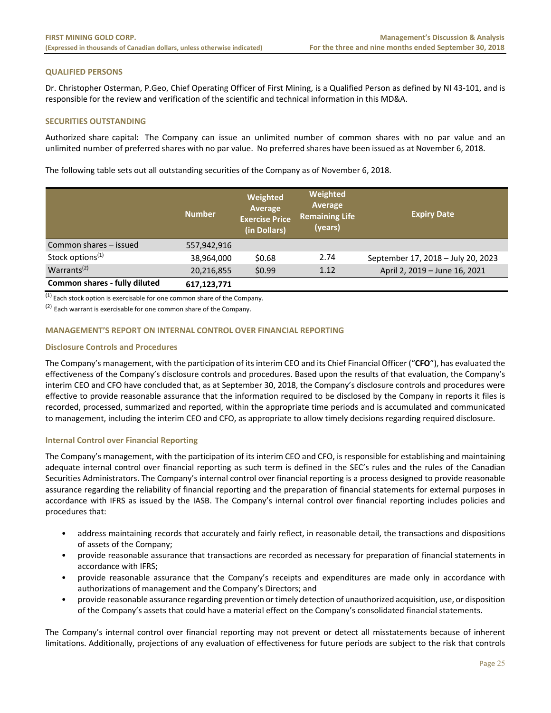## **QUALIFIED PERSONS**

Dr. Christopher Osterman, P.Geo, Chief Operating Officer of First Mining, is a Qualified Person as defined by NI 43‐101, and is responsible for the review and verification of the scientific and technical information in this MD&A.

# **SECURITIES OUTSTANDING**

Authorized share capital: The Company can issue an unlimited number of common shares with no par value and an unlimited number of preferred shares with no par value. No preferred shares have been issued as at November 6, 2018.

The following table sets out all outstanding securities of the Company as of November 6, 2018.

|                               | <b>Number</b> | Weighted<br>Average<br><b>Exercise Price</b><br>(in Dollars) | Weighted<br>Average<br><b>Remaining Life</b><br>(years) | <b>Expiry Date</b>                 |
|-------------------------------|---------------|--------------------------------------------------------------|---------------------------------------------------------|------------------------------------|
| Common shares - issued        | 557,942,916   |                                                              |                                                         |                                    |
| Stock options <sup>(1)</sup>  | 38,964,000    | \$0.68                                                       | 2.74                                                    | September 17, 2018 - July 20, 2023 |
| Warrants $(2)$                | 20,216,855    | \$0.99                                                       | 1.12                                                    | April 2, 2019 - June 16, 2021      |
| Common shares - fully diluted | 617,123,771   |                                                              |                                                         |                                    |

 $\overline{^{(1)}}$  Each stock option is exercisable for one common share of the Company.

(2) Each warrant is exercisable for one common share of the Company.

## **MANAGEMENT'S REPORT ON INTERNAL CONTROL OVER FINANCIAL REPORTING**

## **Disclosure Controls and Procedures**

The Company's management, with the participation of its interim CEO and its Chief Financial Officer ("**CFO**"), has evaluated the effectiveness of the Company's disclosure controls and procedures. Based upon the results of that evaluation, the Company's interim CEO and CFO have concluded that, as at September 30, 2018, the Company's disclosure controls and procedures were effective to provide reasonable assurance that the information required to be disclosed by the Company in reports it files is recorded, processed, summarized and reported, within the appropriate time periods and is accumulated and communicated to management, including the interim CEO and CFO, as appropriate to allow timely decisions regarding required disclosure.

## **Internal Control over Financial Reporting**

The Company's management, with the participation of its interim CEO and CFO, is responsible for establishing and maintaining adequate internal control over financial reporting as such term is defined in the SEC's rules and the rules of the Canadian Securities Administrators. The Company's internal control over financial reporting is a process designed to provide reasonable assurance regarding the reliability of financial reporting and the preparation of financial statements for external purposes in accordance with IFRS as issued by the IASB. The Company's internal control over financial reporting includes policies and procedures that:

- address maintaining records that accurately and fairly reflect, in reasonable detail, the transactions and dispositions of assets of the Company;
- provide reasonable assurance that transactions are recorded as necessary for preparation of financial statements in accordance with IFRS;
- provide reasonable assurance that the Company's receipts and expenditures are made only in accordance with authorizations of management and the Company's Directors; and
- provide reasonable assurance regarding prevention or timely detection of unauthorized acquisition, use, or disposition of the Company's assets that could have a material effect on the Company's consolidated financial statements.

The Company's internal control over financial reporting may not prevent or detect all misstatements because of inherent limitations. Additionally, projections of any evaluation of effectiveness for future periods are subject to the risk that controls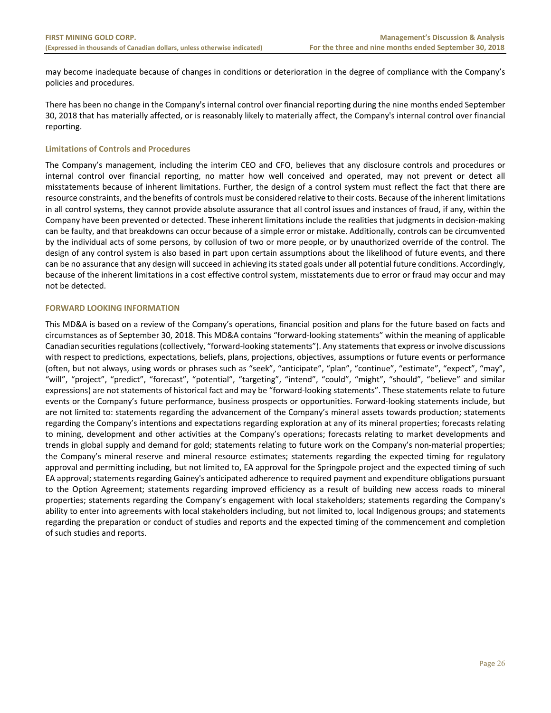may become inadequate because of changes in conditions or deterioration in the degree of compliance with the Company's policies and procedures.

There has been no change in the Company's internal control over financial reporting during the nine months ended September 30, 2018 that has materially affected, or is reasonably likely to materially affect, the Company's internal control over financial reporting.

## **Limitations of Controls and Procedures**

The Company's management, including the interim CEO and CFO, believes that any disclosure controls and procedures or internal control over financial reporting, no matter how well conceived and operated, may not prevent or detect all misstatements because of inherent limitations. Further, the design of a control system must reflect the fact that there are resource constraints, and the benefits of controls must be considered relative to their costs. Because of the inherent limitations in all control systems, they cannot provide absolute assurance that all control issues and instances of fraud, if any, within the Company have been prevented or detected. These inherent limitations include the realities that judgments in decision‐making can be faulty, and that breakdowns can occur because of a simple error or mistake. Additionally, controls can be circumvented by the individual acts of some persons, by collusion of two or more people, or by unauthorized override of the control. The design of any control system is also based in part upon certain assumptions about the likelihood of future events, and there can be no assurance that any design will succeed in achieving its stated goals under all potential future conditions. Accordingly, because of the inherent limitations in a cost effective control system, misstatements due to error or fraud may occur and may not be detected.

## **FORWARD LOOKING INFORMATION**

This MD&A is based on a review of the Company's operations, financial position and plans for the future based on facts and circumstances as of September 30, 2018. This MD&A contains "forward‐looking statements" within the meaning of applicable Canadian securities regulations (collectively, "forward‐looking statements"). Any statements that express or involve discussions with respect to predictions, expectations, beliefs, plans, projections, objectives, assumptions or future events or performance (often, but not always, using words or phrases such as "seek", "anticipate", "plan", "continue", "estimate", "expect", "may", "will", "project", "predict", "forecast", "potential", "targeting", "intend", "could", "might", "should", "believe" and similar expressions) are not statements of historical fact and may be "forward‐looking statements". These statements relate to future events or the Company's future performance, business prospects or opportunities. Forward-looking statements include, but are not limited to: statements regarding the advancement of the Company's mineral assets towards production; statements regarding the Company's intentions and expectations regarding exploration at any of its mineral properties; forecasts relating to mining, development and other activities at the Company's operations; forecasts relating to market developments and trends in global supply and demand for gold; statements relating to future work on the Company's non-material properties; the Company's mineral reserve and mineral resource estimates; statements regarding the expected timing for regulatory approval and permitting including, but not limited to, EA approval for the Springpole project and the expected timing of such EA approval; statements regarding Gainey's anticipated adherence to required payment and expenditure obligations pursuant to the Option Agreement; statements regarding improved efficiency as a result of building new access roads to mineral properties; statements regarding the Company's engagement with local stakeholders; statements regarding the Company's ability to enter into agreements with local stakeholders including, but not limited to, local Indigenous groups; and statements regarding the preparation or conduct of studies and reports and the expected timing of the commencement and completion of such studies and reports.